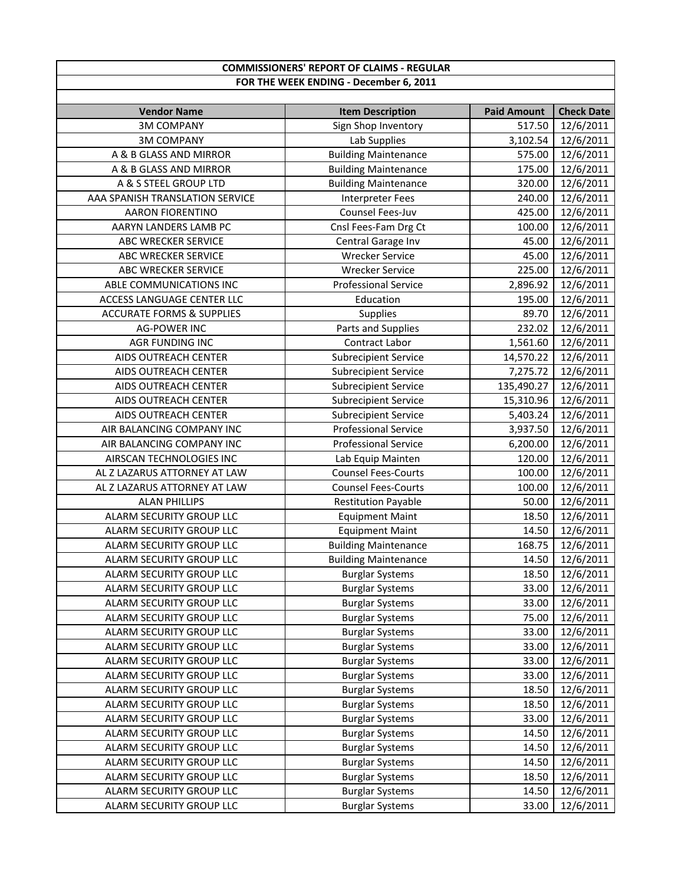| <b>COMMISSIONERS' REPORT OF CLAIMS - REGULAR</b> |                                        |                    |                   |  |
|--------------------------------------------------|----------------------------------------|--------------------|-------------------|--|
|                                                  | FOR THE WEEK ENDING - December 6, 2011 |                    |                   |  |
|                                                  |                                        |                    |                   |  |
| <b>Vendor Name</b>                               | <b>Item Description</b>                | <b>Paid Amount</b> | <b>Check Date</b> |  |
| <b>3M COMPANY</b>                                | Sign Shop Inventory                    | 517.50             | 12/6/2011         |  |
| <b>3M COMPANY</b>                                | Lab Supplies                           | 3,102.54           | 12/6/2011         |  |
| A & B GLASS AND MIRROR                           | <b>Building Maintenance</b>            | 575.00             | 12/6/2011         |  |
| A & B GLASS AND MIRROR                           | <b>Building Maintenance</b>            | 175.00             | 12/6/2011         |  |
| A & S STEEL GROUP LTD                            | <b>Building Maintenance</b>            | 320.00             | 12/6/2011         |  |
| AAA SPANISH TRANSLATION SERVICE                  | <b>Interpreter Fees</b>                | 240.00             | 12/6/2011         |  |
| <b>AARON FIORENTINO</b>                          | Counsel Fees-Juv                       | 425.00             | 12/6/2011         |  |
| AARYN LANDERS LAMB PC                            | Cnsl Fees-Fam Drg Ct                   | 100.00             | 12/6/2011         |  |
| ABC WRECKER SERVICE                              | Central Garage Inv                     | 45.00              | 12/6/2011         |  |
| ABC WRECKER SERVICE                              | <b>Wrecker Service</b>                 | 45.00              | 12/6/2011         |  |
| ABC WRECKER SERVICE                              | <b>Wrecker Service</b>                 | 225.00             | 12/6/2011         |  |
| ABLE COMMUNICATIONS INC                          | <b>Professional Service</b>            | 2,896.92           | 12/6/2011         |  |
| ACCESS LANGUAGE CENTER LLC                       | Education                              | 195.00             | 12/6/2011         |  |
| <b>ACCURATE FORMS &amp; SUPPLIES</b>             | Supplies                               | 89.70              | 12/6/2011         |  |
| <b>AG-POWER INC</b>                              | Parts and Supplies                     | 232.02             | 12/6/2011         |  |
| AGR FUNDING INC                                  | Contract Labor                         | 1,561.60           | 12/6/2011         |  |
| AIDS OUTREACH CENTER                             | <b>Subrecipient Service</b>            | 14,570.22          | 12/6/2011         |  |
| AIDS OUTREACH CENTER                             | <b>Subrecipient Service</b>            | 7,275.72           | 12/6/2011         |  |
| AIDS OUTREACH CENTER                             | <b>Subrecipient Service</b>            | 135,490.27         | 12/6/2011         |  |
| AIDS OUTREACH CENTER                             | <b>Subrecipient Service</b>            | 15,310.96          | 12/6/2011         |  |
| AIDS OUTREACH CENTER                             | <b>Subrecipient Service</b>            | 5,403.24           | 12/6/2011         |  |
| AIR BALANCING COMPANY INC                        | <b>Professional Service</b>            | 3,937.50           | 12/6/2011         |  |
| AIR BALANCING COMPANY INC                        | Professional Service                   | 6,200.00           | 12/6/2011         |  |
| AIRSCAN TECHNOLOGIES INC                         | Lab Equip Mainten                      | 120.00             | 12/6/2011         |  |
| AL Z LAZARUS ATTORNEY AT LAW                     | <b>Counsel Fees-Courts</b>             | 100.00             | 12/6/2011         |  |
| AL Z LAZARUS ATTORNEY AT LAW                     | <b>Counsel Fees-Courts</b>             | 100.00             | 12/6/2011         |  |
| <b>ALAN PHILLIPS</b>                             | <b>Restitution Payable</b>             | 50.00              | 12/6/2011         |  |
| ALARM SECURITY GROUP LLC                         | <b>Equipment Maint</b>                 | 18.50              | 12/6/2011         |  |
| ALARM SECURITY GROUP LLC                         | <b>Equipment Maint</b>                 | 14.50              | 12/6/2011         |  |
| ALARM SECURITY GROUP LLC                         | <b>Building Maintenance</b>            | 168.75             | 12/6/2011         |  |
| ALARM SECURITY GROUP LLC                         | <b>Building Maintenance</b>            |                    | 14.50  12/6/2011  |  |
| ALARM SECURITY GROUP LLC                         | <b>Burglar Systems</b>                 | 18.50              | 12/6/2011         |  |
| ALARM SECURITY GROUP LLC                         | <b>Burglar Systems</b>                 | 33.00              | 12/6/2011         |  |
| ALARM SECURITY GROUP LLC                         | <b>Burglar Systems</b>                 | 33.00              | 12/6/2011         |  |
| ALARM SECURITY GROUP LLC                         | <b>Burglar Systems</b>                 | 75.00              | 12/6/2011         |  |
| ALARM SECURITY GROUP LLC                         | <b>Burglar Systems</b>                 | 33.00              | 12/6/2011         |  |
| ALARM SECURITY GROUP LLC                         | <b>Burglar Systems</b>                 | 33.00              | 12/6/2011         |  |
| ALARM SECURITY GROUP LLC                         | <b>Burglar Systems</b>                 | 33.00              | 12/6/2011         |  |
| ALARM SECURITY GROUP LLC                         | <b>Burglar Systems</b>                 | 33.00              | 12/6/2011         |  |
| ALARM SECURITY GROUP LLC                         | <b>Burglar Systems</b>                 | 18.50              | 12/6/2011         |  |
| ALARM SECURITY GROUP LLC                         | <b>Burglar Systems</b>                 | 18.50              | 12/6/2011         |  |
| ALARM SECURITY GROUP LLC                         | <b>Burglar Systems</b>                 | 33.00              | 12/6/2011         |  |
| ALARM SECURITY GROUP LLC                         | <b>Burglar Systems</b>                 | 14.50              | 12/6/2011         |  |
| ALARM SECURITY GROUP LLC                         | <b>Burglar Systems</b>                 | 14.50              | 12/6/2011         |  |
| ALARM SECURITY GROUP LLC                         | <b>Burglar Systems</b>                 | 14.50              | 12/6/2011         |  |
| ALARM SECURITY GROUP LLC                         | <b>Burglar Systems</b>                 | 18.50              | 12/6/2011         |  |
| ALARM SECURITY GROUP LLC                         | <b>Burglar Systems</b>                 | 14.50              | 12/6/2011         |  |
| ALARM SECURITY GROUP LLC                         | <b>Burglar Systems</b>                 | 33.00              | 12/6/2011         |  |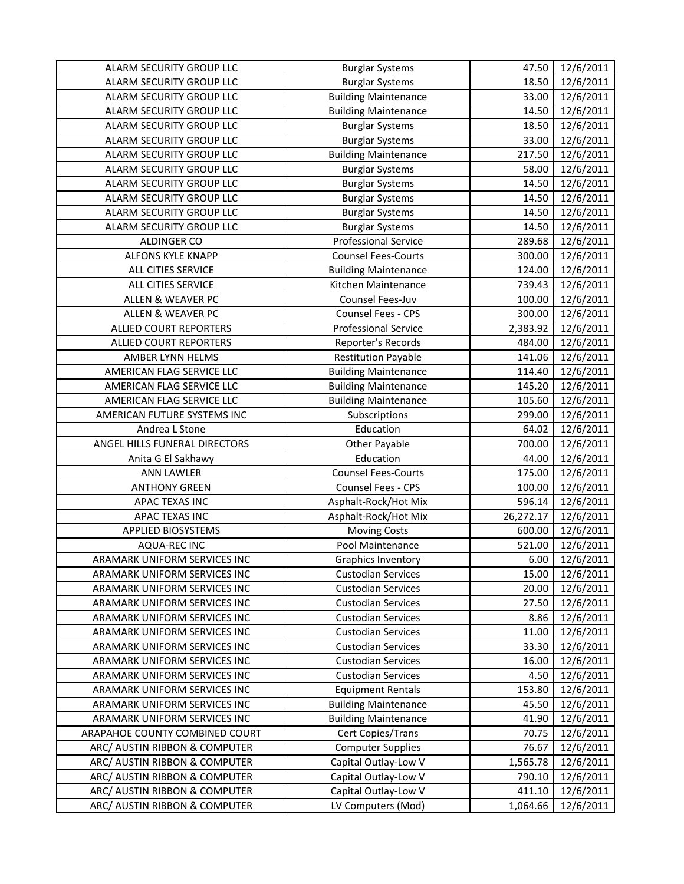| ALARM SECURITY GROUP LLC       | <b>Burglar Systems</b>      | 47.50     | 12/6/2011 |
|--------------------------------|-----------------------------|-----------|-----------|
| ALARM SECURITY GROUP LLC       | <b>Burglar Systems</b>      | 18.50     | 12/6/2011 |
| ALARM SECURITY GROUP LLC       | <b>Building Maintenance</b> | 33.00     | 12/6/2011 |
| ALARM SECURITY GROUP LLC       | <b>Building Maintenance</b> | 14.50     | 12/6/2011 |
| ALARM SECURITY GROUP LLC       | <b>Burglar Systems</b>      | 18.50     | 12/6/2011 |
| ALARM SECURITY GROUP LLC       | <b>Burglar Systems</b>      | 33.00     | 12/6/2011 |
| ALARM SECURITY GROUP LLC       | <b>Building Maintenance</b> | 217.50    | 12/6/2011 |
| ALARM SECURITY GROUP LLC       | <b>Burglar Systems</b>      | 58.00     | 12/6/2011 |
| ALARM SECURITY GROUP LLC       | <b>Burglar Systems</b>      | 14.50     | 12/6/2011 |
| ALARM SECURITY GROUP LLC       | <b>Burglar Systems</b>      | 14.50     | 12/6/2011 |
| ALARM SECURITY GROUP LLC       | <b>Burglar Systems</b>      | 14.50     | 12/6/2011 |
| ALARM SECURITY GROUP LLC       | <b>Burglar Systems</b>      | 14.50     | 12/6/2011 |
| ALDINGER CO                    | <b>Professional Service</b> | 289.68    | 12/6/2011 |
| ALFONS KYLE KNAPP              | <b>Counsel Fees-Courts</b>  | 300.00    | 12/6/2011 |
| ALL CITIES SERVICE             | <b>Building Maintenance</b> | 124.00    | 12/6/2011 |
| ALL CITIES SERVICE             | Kitchen Maintenance         | 739.43    | 12/6/2011 |
| ALLEN & WEAVER PC              | Counsel Fees-Juv            | 100.00    | 12/6/2011 |
| <b>ALLEN &amp; WEAVER PC</b>   | Counsel Fees - CPS          | 300.00    | 12/6/2011 |
| ALLIED COURT REPORTERS         | <b>Professional Service</b> | 2,383.92  | 12/6/2011 |
| ALLIED COURT REPORTERS         | Reporter's Records          | 484.00    | 12/6/2011 |
| AMBER LYNN HELMS               | <b>Restitution Payable</b>  | 141.06    | 12/6/2011 |
| AMERICAN FLAG SERVICE LLC      | <b>Building Maintenance</b> | 114.40    | 12/6/2011 |
| AMERICAN FLAG SERVICE LLC      | <b>Building Maintenance</b> | 145.20    | 12/6/2011 |
| AMERICAN FLAG SERVICE LLC      | <b>Building Maintenance</b> | 105.60    | 12/6/2011 |
| AMERICAN FUTURE SYSTEMS INC    | Subscriptions               | 299.00    | 12/6/2011 |
| Andrea L Stone                 | Education                   | 64.02     | 12/6/2011 |
| ANGEL HILLS FUNERAL DIRECTORS  | Other Payable               | 700.00    | 12/6/2011 |
| Anita G El Sakhawy             | Education                   | 44.00     | 12/6/2011 |
| <b>ANN LAWLER</b>              | <b>Counsel Fees-Courts</b>  | 175.00    | 12/6/2011 |
| <b>ANTHONY GREEN</b>           | Counsel Fees - CPS          | 100.00    | 12/6/2011 |
| APAC TEXAS INC                 | Asphalt-Rock/Hot Mix        | 596.14    | 12/6/2011 |
| APAC TEXAS INC                 | Asphalt-Rock/Hot Mix        | 26,272.17 | 12/6/2011 |
| <b>APPLIED BIOSYSTEMS</b>      | <b>Moving Costs</b>         | 600.00    | 12/6/2011 |
| <b>AQUA-REC INC</b>            | Pool Maintenance            | 521.00    | 12/6/2011 |
| ARAMARK UNIFORM SERVICES INC   | Graphics Inventory          | 6.00      | 12/6/2011 |
| ARAMARK UNIFORM SERVICES INC   | <b>Custodian Services</b>   | 15.00     | 12/6/2011 |
| ARAMARK UNIFORM SERVICES INC   | <b>Custodian Services</b>   | 20.00     | 12/6/2011 |
| ARAMARK UNIFORM SERVICES INC   | <b>Custodian Services</b>   | 27.50     | 12/6/2011 |
| ARAMARK UNIFORM SERVICES INC   | <b>Custodian Services</b>   | 8.86      | 12/6/2011 |
| ARAMARK UNIFORM SERVICES INC   | <b>Custodian Services</b>   | 11.00     | 12/6/2011 |
| ARAMARK UNIFORM SERVICES INC   | <b>Custodian Services</b>   | 33.30     | 12/6/2011 |
| ARAMARK UNIFORM SERVICES INC   | <b>Custodian Services</b>   | 16.00     | 12/6/2011 |
| ARAMARK UNIFORM SERVICES INC   | <b>Custodian Services</b>   | 4.50      | 12/6/2011 |
| ARAMARK UNIFORM SERVICES INC   | <b>Equipment Rentals</b>    | 153.80    | 12/6/2011 |
| ARAMARK UNIFORM SERVICES INC   | <b>Building Maintenance</b> | 45.50     | 12/6/2011 |
| ARAMARK UNIFORM SERVICES INC   | <b>Building Maintenance</b> | 41.90     | 12/6/2011 |
| ARAPAHOE COUNTY COMBINED COURT | Cert Copies/Trans           | 70.75     | 12/6/2011 |
| ARC/ AUSTIN RIBBON & COMPUTER  | <b>Computer Supplies</b>    | 76.67     | 12/6/2011 |
| ARC/ AUSTIN RIBBON & COMPUTER  | Capital Outlay-Low V        | 1,565.78  | 12/6/2011 |
| ARC/ AUSTIN RIBBON & COMPUTER  | Capital Outlay-Low V        | 790.10    | 12/6/2011 |
| ARC/ AUSTIN RIBBON & COMPUTER  | Capital Outlay-Low V        | 411.10    | 12/6/2011 |
| ARC/ AUSTIN RIBBON & COMPUTER  | LV Computers (Mod)          | 1,064.66  | 12/6/2011 |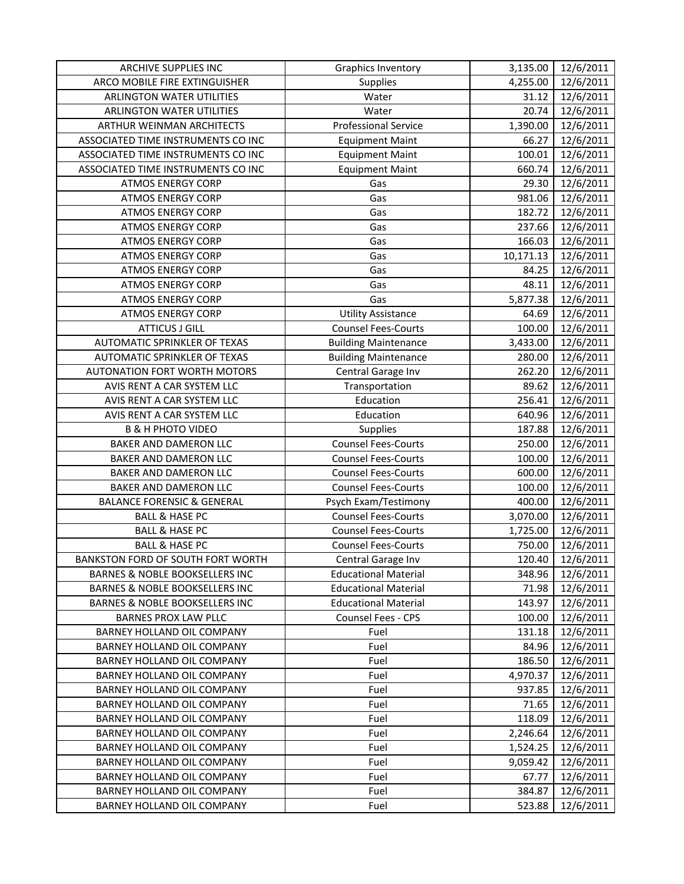| <b>ARCHIVE SUPPLIES INC</b>               | Graphics Inventory          | 3,135.00  | 12/6/2011 |
|-------------------------------------------|-----------------------------|-----------|-----------|
| ARCO MOBILE FIRE EXTINGUISHER             | Supplies                    | 4,255.00  | 12/6/2011 |
| <b>ARLINGTON WATER UTILITIES</b>          | Water                       | 31.12     | 12/6/2011 |
| <b>ARLINGTON WATER UTILITIES</b>          | Water                       | 20.74     | 12/6/2011 |
| ARTHUR WEINMAN ARCHITECTS                 | <b>Professional Service</b> | 1,390.00  | 12/6/2011 |
| ASSOCIATED TIME INSTRUMENTS CO INC        | <b>Equipment Maint</b>      | 66.27     | 12/6/2011 |
| ASSOCIATED TIME INSTRUMENTS CO INC        | <b>Equipment Maint</b>      | 100.01    | 12/6/2011 |
| ASSOCIATED TIME INSTRUMENTS CO INC        | <b>Equipment Maint</b>      | 660.74    | 12/6/2011 |
| <b>ATMOS ENERGY CORP</b>                  | Gas                         | 29.30     | 12/6/2011 |
| <b>ATMOS ENERGY CORP</b>                  | Gas                         | 981.06    | 12/6/2011 |
| <b>ATMOS ENERGY CORP</b>                  | Gas                         | 182.72    | 12/6/2011 |
| <b>ATMOS ENERGY CORP</b>                  | Gas                         | 237.66    | 12/6/2011 |
| <b>ATMOS ENERGY CORP</b>                  | Gas                         | 166.03    | 12/6/2011 |
| <b>ATMOS ENERGY CORP</b>                  | Gas                         | 10,171.13 | 12/6/2011 |
| <b>ATMOS ENERGY CORP</b>                  | Gas                         | 84.25     | 12/6/2011 |
| <b>ATMOS ENERGY CORP</b>                  | Gas                         | 48.11     | 12/6/2011 |
| <b>ATMOS ENERGY CORP</b>                  | Gas                         | 5,877.38  | 12/6/2011 |
| <b>ATMOS ENERGY CORP</b>                  | <b>Utility Assistance</b>   | 64.69     | 12/6/2011 |
| <b>ATTICUS J GILL</b>                     | <b>Counsel Fees-Courts</b>  | 100.00    | 12/6/2011 |
| AUTOMATIC SPRINKLER OF TEXAS              | <b>Building Maintenance</b> | 3,433.00  | 12/6/2011 |
| AUTOMATIC SPRINKLER OF TEXAS              | <b>Building Maintenance</b> | 280.00    | 12/6/2011 |
| <b>AUTONATION FORT WORTH MOTORS</b>       | Central Garage Inv          | 262.20    | 12/6/2011 |
| AVIS RENT A CAR SYSTEM LLC                | Transportation              | 89.62     | 12/6/2011 |
| AVIS RENT A CAR SYSTEM LLC                | Education                   | 256.41    | 12/6/2011 |
| AVIS RENT A CAR SYSTEM LLC                | Education                   | 640.96    | 12/6/2011 |
| <b>B &amp; H PHOTO VIDEO</b>              | Supplies                    | 187.88    | 12/6/2011 |
| BAKER AND DAMERON LLC                     | <b>Counsel Fees-Courts</b>  | 250.00    | 12/6/2011 |
| BAKER AND DAMERON LLC                     | <b>Counsel Fees-Courts</b>  | 100.00    | 12/6/2011 |
| BAKER AND DAMERON LLC                     | <b>Counsel Fees-Courts</b>  | 600.00    | 12/6/2011 |
| BAKER AND DAMERON LLC                     | <b>Counsel Fees-Courts</b>  | 100.00    | 12/6/2011 |
| <b>BALANCE FORENSIC &amp; GENERAL</b>     | Psych Exam/Testimony        | 400.00    | 12/6/2011 |
| <b>BALL &amp; HASE PC</b>                 | <b>Counsel Fees-Courts</b>  | 3,070.00  | 12/6/2011 |
| <b>BALL &amp; HASE PC</b>                 | <b>Counsel Fees-Courts</b>  | 1,725.00  | 12/6/2011 |
| <b>BALL &amp; HASE PC</b>                 | <b>Counsel Fees-Courts</b>  | 750.00    | 12/6/2011 |
| BANKSTON FORD OF SOUTH FORT WORTH         | Central Garage Inv          | 120.40    | 12/6/2011 |
| BARNES & NOBLE BOOKSELLERS INC            | <b>Educational Material</b> | 348.96    | 12/6/2011 |
| BARNES & NOBLE BOOKSELLERS INC            | <b>Educational Material</b> | 71.98     | 12/6/2011 |
| <b>BARNES &amp; NOBLE BOOKSELLERS INC</b> | <b>Educational Material</b> | 143.97    | 12/6/2011 |
| BARNES PROX LAW PLLC                      | <b>Counsel Fees - CPS</b>   | 100.00    | 12/6/2011 |
| BARNEY HOLLAND OIL COMPANY                | Fuel                        | 131.18    | 12/6/2011 |
| BARNEY HOLLAND OIL COMPANY                | Fuel                        | 84.96     | 12/6/2011 |
| BARNEY HOLLAND OIL COMPANY                | Fuel                        | 186.50    | 12/6/2011 |
| BARNEY HOLLAND OIL COMPANY                | Fuel                        | 4,970.37  | 12/6/2011 |
| BARNEY HOLLAND OIL COMPANY                | Fuel                        | 937.85    | 12/6/2011 |
| BARNEY HOLLAND OIL COMPANY                | Fuel                        | 71.65     | 12/6/2011 |
| BARNEY HOLLAND OIL COMPANY                | Fuel                        | 118.09    | 12/6/2011 |
| BARNEY HOLLAND OIL COMPANY                | Fuel                        | 2,246.64  | 12/6/2011 |
| BARNEY HOLLAND OIL COMPANY                | Fuel                        | 1,524.25  | 12/6/2011 |
| BARNEY HOLLAND OIL COMPANY                | Fuel                        | 9,059.42  | 12/6/2011 |
| BARNEY HOLLAND OIL COMPANY                | Fuel                        | 67.77     | 12/6/2011 |
| BARNEY HOLLAND OIL COMPANY                | Fuel                        | 384.87    | 12/6/2011 |
| BARNEY HOLLAND OIL COMPANY                | Fuel                        | 523.88    | 12/6/2011 |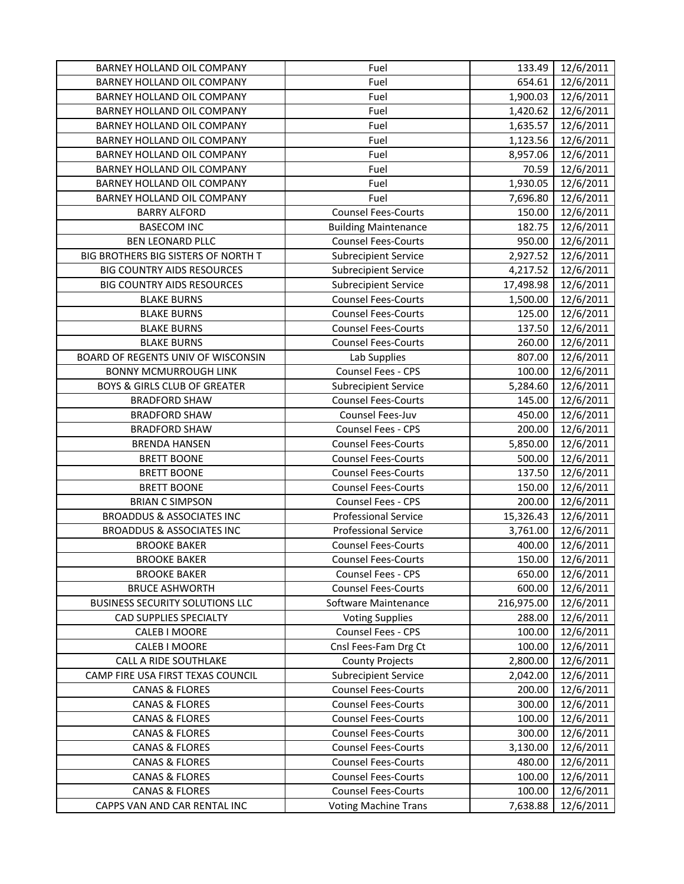| BARNEY HOLLAND OIL COMPANY              | Fuel                        | 133.49     | 12/6/2011 |
|-----------------------------------------|-----------------------------|------------|-----------|
| BARNEY HOLLAND OIL COMPANY              | Fuel                        | 654.61     | 12/6/2011 |
| BARNEY HOLLAND OIL COMPANY              | Fuel                        | 1,900.03   | 12/6/2011 |
| BARNEY HOLLAND OIL COMPANY              | Fuel                        | 1,420.62   | 12/6/2011 |
| BARNEY HOLLAND OIL COMPANY              | Fuel                        | 1,635.57   | 12/6/2011 |
| BARNEY HOLLAND OIL COMPANY              | Fuel                        | 1,123.56   | 12/6/2011 |
| BARNEY HOLLAND OIL COMPANY              | Fuel                        | 8,957.06   | 12/6/2011 |
| BARNEY HOLLAND OIL COMPANY              | Fuel                        | 70.59      | 12/6/2011 |
| BARNEY HOLLAND OIL COMPANY              | Fuel                        | 1,930.05   | 12/6/2011 |
| BARNEY HOLLAND OIL COMPANY              | Fuel                        | 7,696.80   | 12/6/2011 |
| <b>BARRY ALFORD</b>                     | <b>Counsel Fees-Courts</b>  | 150.00     | 12/6/2011 |
| <b>BASECOM INC</b>                      | <b>Building Maintenance</b> | 182.75     | 12/6/2011 |
| <b>BEN LEONARD PLLC</b>                 | <b>Counsel Fees-Courts</b>  | 950.00     | 12/6/2011 |
| BIG BROTHERS BIG SISTERS OF NORTH T     | <b>Subrecipient Service</b> | 2,927.52   | 12/6/2011 |
| <b>BIG COUNTRY AIDS RESOURCES</b>       | <b>Subrecipient Service</b> | 4,217.52   | 12/6/2011 |
| <b>BIG COUNTRY AIDS RESOURCES</b>       | <b>Subrecipient Service</b> | 17,498.98  | 12/6/2011 |
| <b>BLAKE BURNS</b>                      | <b>Counsel Fees-Courts</b>  | 1,500.00   | 12/6/2011 |
| <b>BLAKE BURNS</b>                      | <b>Counsel Fees-Courts</b>  | 125.00     | 12/6/2011 |
| <b>BLAKE BURNS</b>                      | <b>Counsel Fees-Courts</b>  | 137.50     | 12/6/2011 |
| <b>BLAKE BURNS</b>                      | <b>Counsel Fees-Courts</b>  | 260.00     | 12/6/2011 |
| BOARD OF REGENTS UNIV OF WISCONSIN      | Lab Supplies                | 807.00     | 12/6/2011 |
| <b>BONNY MCMURROUGH LINK</b>            | Counsel Fees - CPS          | 100.00     | 12/6/2011 |
| <b>BOYS &amp; GIRLS CLUB OF GREATER</b> | <b>Subrecipient Service</b> | 5,284.60   | 12/6/2011 |
| <b>BRADFORD SHAW</b>                    | <b>Counsel Fees-Courts</b>  | 145.00     | 12/6/2011 |
| <b>BRADFORD SHAW</b>                    | Counsel Fees-Juv            | 450.00     | 12/6/2011 |
| <b>BRADFORD SHAW</b>                    | Counsel Fees - CPS          | 200.00     | 12/6/2011 |
| <b>BRENDA HANSEN</b>                    | <b>Counsel Fees-Courts</b>  | 5,850.00   | 12/6/2011 |
| <b>BRETT BOONE</b>                      | <b>Counsel Fees-Courts</b>  | 500.00     | 12/6/2011 |
| <b>BRETT BOONE</b>                      | <b>Counsel Fees-Courts</b>  | 137.50     | 12/6/2011 |
| <b>BRETT BOONE</b>                      | <b>Counsel Fees-Courts</b>  | 150.00     | 12/6/2011 |
| <b>BRIAN C SIMPSON</b>                  | Counsel Fees - CPS          | 200.00     | 12/6/2011 |
| <b>BROADDUS &amp; ASSOCIATES INC</b>    | <b>Professional Service</b> | 15,326.43  | 12/6/2011 |
| <b>BROADDUS &amp; ASSOCIATES INC</b>    | <b>Professional Service</b> | 3,761.00   | 12/6/2011 |
| <b>BROOKE BAKER</b>                     | <b>Counsel Fees-Courts</b>  | 400.00     | 12/6/2011 |
| <b>BROOKE BAKER</b>                     | <b>Counsel Fees-Courts</b>  | 150.00     | 12/6/2011 |
| <b>BROOKE BAKER</b>                     | <b>Counsel Fees - CPS</b>   | 650.00     | 12/6/2011 |
| <b>BRUCE ASHWORTH</b>                   | <b>Counsel Fees-Courts</b>  | 600.00     | 12/6/2011 |
| <b>BUSINESS SECURITY SOLUTIONS LLC</b>  | Software Maintenance        | 216,975.00 | 12/6/2011 |
| <b>CAD SUPPLIES SPECIALTY</b>           | <b>Voting Supplies</b>      | 288.00     | 12/6/2011 |
| CALEB I MOORE                           | Counsel Fees - CPS          | 100.00     | 12/6/2011 |
| CALEB I MOORE                           | Cnsl Fees-Fam Drg Ct        | 100.00     | 12/6/2011 |
| <b>CALL A RIDE SOUTHLAKE</b>            | <b>County Projects</b>      | 2,800.00   | 12/6/2011 |
| CAMP FIRE USA FIRST TEXAS COUNCIL       | <b>Subrecipient Service</b> | 2,042.00   | 12/6/2011 |
| <b>CANAS &amp; FLORES</b>               | <b>Counsel Fees-Courts</b>  | 200.00     | 12/6/2011 |
| <b>CANAS &amp; FLORES</b>               | <b>Counsel Fees-Courts</b>  | 300.00     | 12/6/2011 |
| <b>CANAS &amp; FLORES</b>               | <b>Counsel Fees-Courts</b>  | 100.00     | 12/6/2011 |
| <b>CANAS &amp; FLORES</b>               | <b>Counsel Fees-Courts</b>  | 300.00     | 12/6/2011 |
| <b>CANAS &amp; FLORES</b>               | <b>Counsel Fees-Courts</b>  | 3,130.00   | 12/6/2011 |
| <b>CANAS &amp; FLORES</b>               | <b>Counsel Fees-Courts</b>  | 480.00     | 12/6/2011 |
| <b>CANAS &amp; FLORES</b>               | <b>Counsel Fees-Courts</b>  | 100.00     | 12/6/2011 |
| <b>CANAS &amp; FLORES</b>               | <b>Counsel Fees-Courts</b>  | 100.00     | 12/6/2011 |
| CAPPS VAN AND CAR RENTAL INC            | <b>Voting Machine Trans</b> | 7,638.88   | 12/6/2011 |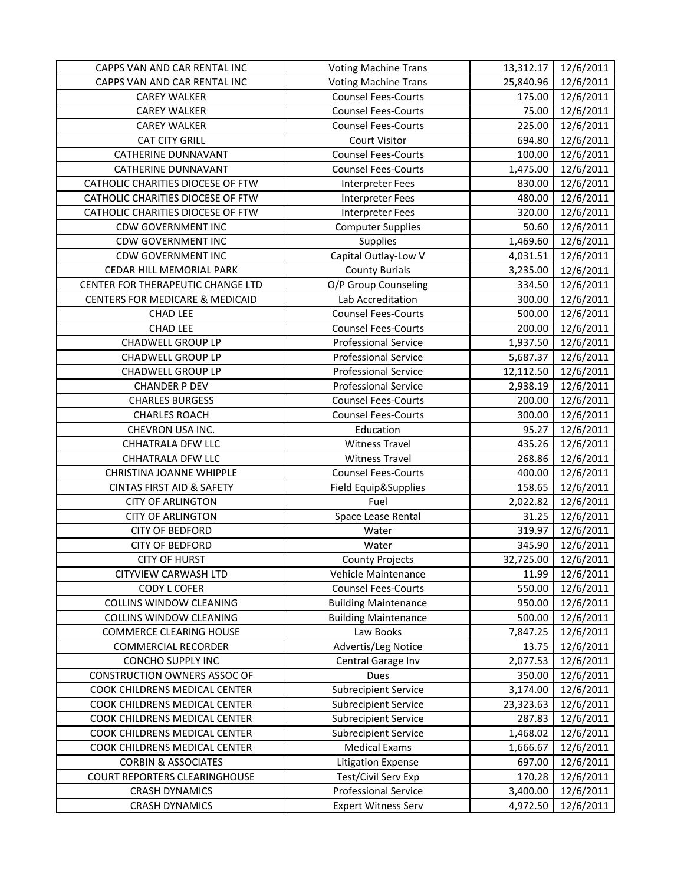| CAPPS VAN AND CAR RENTAL INC               | <b>Voting Machine Trans</b> | 13,312.17 | 12/6/2011 |
|--------------------------------------------|-----------------------------|-----------|-----------|
| CAPPS VAN AND CAR RENTAL INC               | <b>Voting Machine Trans</b> | 25,840.96 | 12/6/2011 |
| <b>CAREY WALKER</b>                        | <b>Counsel Fees-Courts</b>  | 175.00    | 12/6/2011 |
| <b>CAREY WALKER</b>                        | <b>Counsel Fees-Courts</b>  | 75.00     | 12/6/2011 |
| <b>CAREY WALKER</b>                        | <b>Counsel Fees-Courts</b>  | 225.00    | 12/6/2011 |
| <b>CAT CITY GRILL</b>                      | <b>Court Visitor</b>        | 694.80    | 12/6/2011 |
| <b>CATHERINE DUNNAVANT</b>                 | <b>Counsel Fees-Courts</b>  | 100.00    | 12/6/2011 |
| <b>CATHERINE DUNNAVANT</b>                 | <b>Counsel Fees-Courts</b>  | 1,475.00  | 12/6/2011 |
| CATHOLIC CHARITIES DIOCESE OF FTW          | <b>Interpreter Fees</b>     | 830.00    | 12/6/2011 |
| CATHOLIC CHARITIES DIOCESE OF FTW          | <b>Interpreter Fees</b>     | 480.00    | 12/6/2011 |
| CATHOLIC CHARITIES DIOCESE OF FTW          | <b>Interpreter Fees</b>     | 320.00    | 12/6/2011 |
| <b>CDW GOVERNMENT INC</b>                  | <b>Computer Supplies</b>    | 50.60     | 12/6/2011 |
| <b>CDW GOVERNMENT INC</b>                  | Supplies                    | 1,469.60  | 12/6/2011 |
| <b>CDW GOVERNMENT INC</b>                  | Capital Outlay-Low V        | 4,031.51  | 12/6/2011 |
| CEDAR HILL MEMORIAL PARK                   | <b>County Burials</b>       | 3,235.00  | 12/6/2011 |
| CENTER FOR THERAPEUTIC CHANGE LTD          | O/P Group Counseling        | 334.50    | 12/6/2011 |
| <b>CENTERS FOR MEDICARE &amp; MEDICAID</b> | Lab Accreditation           | 300.00    | 12/6/2011 |
| <b>CHAD LEE</b>                            | <b>Counsel Fees-Courts</b>  | 500.00    | 12/6/2011 |
| <b>CHAD LEE</b>                            | <b>Counsel Fees-Courts</b>  | 200.00    | 12/6/2011 |
| <b>CHADWELL GROUP LP</b>                   | <b>Professional Service</b> | 1,937.50  | 12/6/2011 |
| <b>CHADWELL GROUP LP</b>                   | <b>Professional Service</b> | 5,687.37  | 12/6/2011 |
| <b>CHADWELL GROUP LP</b>                   | <b>Professional Service</b> | 12,112.50 | 12/6/2011 |
| <b>CHANDER P DEV</b>                       | <b>Professional Service</b> | 2,938.19  | 12/6/2011 |
| <b>CHARLES BURGESS</b>                     | <b>Counsel Fees-Courts</b>  | 200.00    | 12/6/2011 |
| <b>CHARLES ROACH</b>                       | <b>Counsel Fees-Courts</b>  | 300.00    | 12/6/2011 |
| CHEVRON USA INC.                           | Education                   | 95.27     | 12/6/2011 |
| CHHATRALA DFW LLC                          | <b>Witness Travel</b>       | 435.26    | 12/6/2011 |
| <b>CHHATRALA DFW LLC</b>                   | <b>Witness Travel</b>       | 268.86    | 12/6/2011 |
| CHRISTINA JOANNE WHIPPLE                   | <b>Counsel Fees-Courts</b>  | 400.00    | 12/6/2011 |
| <b>CINTAS FIRST AID &amp; SAFETY</b>       | Field Equip&Supplies        | 158.65    | 12/6/2011 |
| <b>CITY OF ARLINGTON</b>                   | Fuel                        | 2,022.82  | 12/6/2011 |
| <b>CITY OF ARLINGTON</b>                   | Space Lease Rental          | 31.25     | 12/6/2011 |
| <b>CITY OF BEDFORD</b>                     | Water                       | 319.97    | 12/6/2011 |
| <b>CITY OF BEDFORD</b>                     | Water                       | 345.90    | 12/6/2011 |
| <b>CITY OF HURST</b>                       | <b>County Projects</b>      | 32,725.00 | 12/6/2011 |
| CITYVIEW CARWASH LTD                       | Vehicle Maintenance         | 11.99     | 12/6/2011 |
| <b>CODY L COFER</b>                        | <b>Counsel Fees-Courts</b>  | 550.00    | 12/6/2011 |
| COLLINS WINDOW CLEANING                    | <b>Building Maintenance</b> | 950.00    | 12/6/2011 |
| COLLINS WINDOW CLEANING                    | <b>Building Maintenance</b> | 500.00    | 12/6/2011 |
| <b>COMMERCE CLEARING HOUSE</b>             | Law Books                   | 7,847.25  | 12/6/2011 |
| <b>COMMERCIAL RECORDER</b>                 | Advertis/Leg Notice         | 13.75     | 12/6/2011 |
| <b>CONCHO SUPPLY INC</b>                   | Central Garage Inv          | 2,077.53  | 12/6/2011 |
| <b>CONSTRUCTION OWNERS ASSOC OF</b>        | <b>Dues</b>                 | 350.00    | 12/6/2011 |
| COOK CHILDRENS MEDICAL CENTER              | <b>Subrecipient Service</b> | 3,174.00  | 12/6/2011 |
| COOK CHILDRENS MEDICAL CENTER              | <b>Subrecipient Service</b> | 23,323.63 | 12/6/2011 |
| COOK CHILDRENS MEDICAL CENTER              | <b>Subrecipient Service</b> | 287.83    | 12/6/2011 |
| COOK CHILDRENS MEDICAL CENTER              | <b>Subrecipient Service</b> | 1,468.02  | 12/6/2011 |
| COOK CHILDRENS MEDICAL CENTER              | <b>Medical Exams</b>        | 1,666.67  | 12/6/2011 |
| <b>CORBIN &amp; ASSOCIATES</b>             | <b>Litigation Expense</b>   | 697.00    | 12/6/2011 |
| <b>COURT REPORTERS CLEARINGHOUSE</b>       | Test/Civil Serv Exp         | 170.28    | 12/6/2011 |
| <b>CRASH DYNAMICS</b>                      | <b>Professional Service</b> | 3,400.00  | 12/6/2011 |
| <b>CRASH DYNAMICS</b>                      | <b>Expert Witness Serv</b>  | 4,972.50  | 12/6/2011 |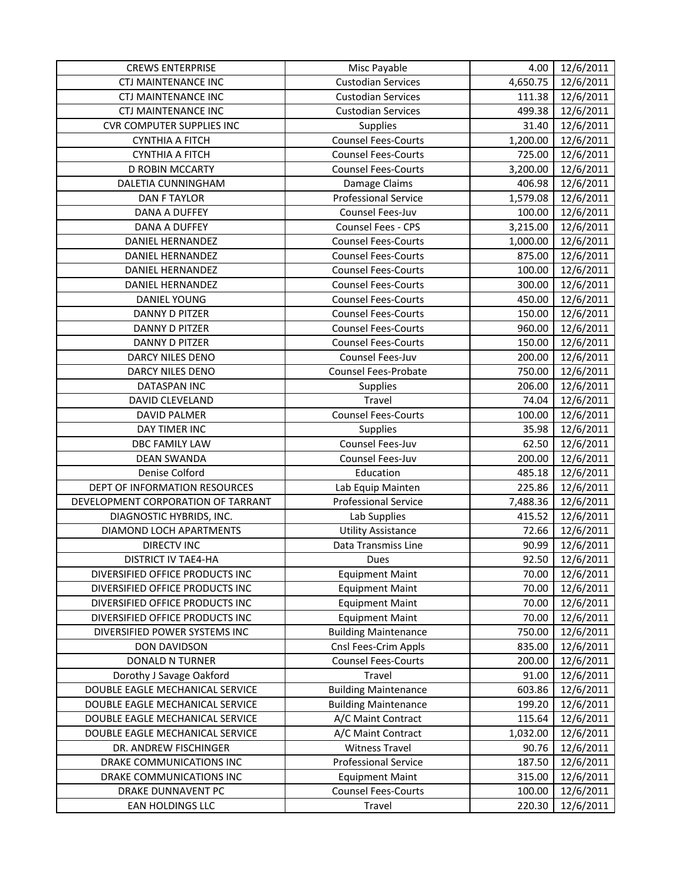| <b>CREWS ENTERPRISE</b>            | Misc Payable                | 4.00     | 12/6/2011            |
|------------------------------------|-----------------------------|----------|----------------------|
| <b>CTJ MAINTENANCE INC</b>         | <b>Custodian Services</b>   | 4,650.75 | 12/6/2011            |
| <b>CTJ MAINTENANCE INC</b>         | <b>Custodian Services</b>   | 111.38   | 12/6/2011            |
| <b>CTJ MAINTENANCE INC</b>         | <b>Custodian Services</b>   | 499.38   | 12/6/2011            |
| <b>CVR COMPUTER SUPPLIES INC</b>   | Supplies                    | 31.40    | 12/6/2011            |
| <b>CYNTHIA A FITCH</b>             | <b>Counsel Fees-Courts</b>  | 1,200.00 | 12/6/2011            |
| <b>CYNTHIA A FITCH</b>             | <b>Counsel Fees-Courts</b>  | 725.00   | 12/6/2011            |
| <b>D ROBIN MCCARTY</b>             | <b>Counsel Fees-Courts</b>  | 3,200.00 | 12/6/2011            |
| DALETIA CUNNINGHAM                 | Damage Claims               | 406.98   | 12/6/2011            |
| <b>DAN F TAYLOR</b>                | <b>Professional Service</b> | 1,579.08 | 12/6/2011            |
| <b>DANA A DUFFEY</b>               | Counsel Fees-Juv            | 100.00   | $\frac{1}{2}/6/2011$ |
| DANA A DUFFEY                      | Counsel Fees - CPS          | 3,215.00 | 12/6/2011            |
| DANIEL HERNANDEZ                   | <b>Counsel Fees-Courts</b>  | 1,000.00 | 12/6/2011            |
| DANIEL HERNANDEZ                   | <b>Counsel Fees-Courts</b>  | 875.00   | $\frac{1}{2}/6/2011$ |
| <b>DANIEL HERNANDEZ</b>            | <b>Counsel Fees-Courts</b>  | 100.00   | 12/6/2011            |
| <b>DANIEL HERNANDEZ</b>            | <b>Counsel Fees-Courts</b>  | 300.00   | 12/6/2011            |
| DANIEL YOUNG                       | <b>Counsel Fees-Courts</b>  | 450.00   | 12/6/2011            |
| DANNY D PITZER                     | <b>Counsel Fees-Courts</b>  | 150.00   | 12/6/2011            |
| <b>DANNY D PITZER</b>              | <b>Counsel Fees-Courts</b>  | 960.00   | 12/6/2011            |
| <b>DANNY D PITZER</b>              | <b>Counsel Fees-Courts</b>  | 150.00   | 12/6/2011            |
| DARCY NILES DENO                   | Counsel Fees-Juv            | 200.00   | 12/6/2011            |
| DARCY NILES DENO                   | Counsel Fees-Probate        | 750.00   | 12/6/2011            |
| <b>DATASPAN INC</b>                | Supplies                    | 206.00   | 12/6/2011            |
| DAVID CLEVELAND                    | Travel                      | 74.04    | 12/6/2011            |
| <b>DAVID PALMER</b>                | <b>Counsel Fees-Courts</b>  | 100.00   | 12/6/2011            |
| DAY TIMER INC                      | Supplies                    | 35.98    | 12/6/2011            |
| DBC FAMILY LAW                     | Counsel Fees-Juv            | 62.50    | 12/6/2011            |
| <b>DEAN SWANDA</b>                 | Counsel Fees-Juv            | 200.00   | 12/6/2011            |
| Denise Colford                     | Education                   | 485.18   | 12/6/2011            |
| DEPT OF INFORMATION RESOURCES      | Lab Equip Mainten           | 225.86   | 12/6/2011            |
| DEVELOPMENT CORPORATION OF TARRANT | <b>Professional Service</b> | 7,488.36 | 12/6/2011            |
| DIAGNOSTIC HYBRIDS, INC.           | Lab Supplies                | 415.52   | 12/6/2011            |
| DIAMOND LOCH APARTMENTS            | <b>Utility Assistance</b>   | 72.66    | 12/6/2011            |
| <b>DIRECTV INC</b>                 | Data Transmiss Line         | 90.99    | 12/6/2011            |
| DISTRICT IV TAE4-HA                | Dues                        | 92.50    | 12/6/2011            |
| DIVERSIFIED OFFICE PRODUCTS INC    | <b>Equipment Maint</b>      | 70.00    | 12/6/2011            |
| DIVERSIFIED OFFICE PRODUCTS INC    | <b>Equipment Maint</b>      | 70.00    | 12/6/2011            |
| DIVERSIFIED OFFICE PRODUCTS INC    | <b>Equipment Maint</b>      | 70.00    | 12/6/2011            |
| DIVERSIFIED OFFICE PRODUCTS INC    | <b>Equipment Maint</b>      | 70.00    | 12/6/2011            |
| DIVERSIFIED POWER SYSTEMS INC      | <b>Building Maintenance</b> | 750.00   | 12/6/2011            |
| DON DAVIDSON                       | Cnsl Fees-Crim Appls        | 835.00   | 12/6/2011            |
| <b>DONALD N TURNER</b>             | <b>Counsel Fees-Courts</b>  | 200.00   | 12/6/2011            |
| Dorothy J Savage Oakford           | Travel                      | 91.00    | 12/6/2011            |
| DOUBLE EAGLE MECHANICAL SERVICE    | <b>Building Maintenance</b> | 603.86   | 12/6/2011            |
| DOUBLE EAGLE MECHANICAL SERVICE    | <b>Building Maintenance</b> | 199.20   | 12/6/2011            |
| DOUBLE EAGLE MECHANICAL SERVICE    | A/C Maint Contract          | 115.64   | 12/6/2011            |
| DOUBLE EAGLE MECHANICAL SERVICE    | A/C Maint Contract          | 1,032.00 | 12/6/2011            |
| DR. ANDREW FISCHINGER              | <b>Witness Travel</b>       | 90.76    | 12/6/2011            |
| DRAKE COMMUNICATIONS INC           | <b>Professional Service</b> | 187.50   | 12/6/2011            |
| DRAKE COMMUNICATIONS INC           | <b>Equipment Maint</b>      | 315.00   | 12/6/2011            |
| DRAKE DUNNAVENT PC                 | <b>Counsel Fees-Courts</b>  | 100.00   | 12/6/2011            |
| EAN HOLDINGS LLC                   | Travel                      | 220.30   | 12/6/2011            |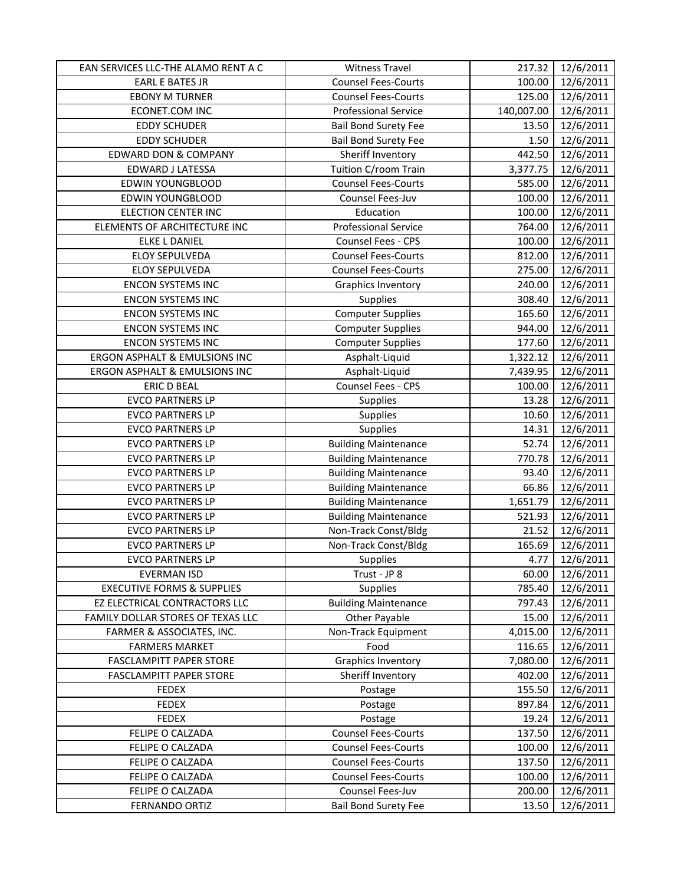| EAN SERVICES LLC-THE ALAMO RENT A C   | <b>Witness Travel</b>       | 217.32     | 12/6/2011 |
|---------------------------------------|-----------------------------|------------|-----------|
| <b>EARL E BATES JR</b>                | <b>Counsel Fees-Courts</b>  | 100.00     | 12/6/2011 |
| <b>EBONY M TURNER</b>                 | <b>Counsel Fees-Courts</b>  | 125.00     | 12/6/2011 |
| ECONET.COM INC                        | <b>Professional Service</b> | 140,007.00 | 12/6/2011 |
| <b>EDDY SCHUDER</b>                   | <b>Bail Bond Surety Fee</b> | 13.50      | 12/6/2011 |
| <b>EDDY SCHUDER</b>                   | <b>Bail Bond Surety Fee</b> | 1.50       | 12/6/2011 |
| EDWARD DON & COMPANY                  | Sheriff Inventory           | 442.50     | 12/6/2011 |
| EDWARD J LATESSA                      | Tuition C/room Train        | 3,377.75   | 12/6/2011 |
| <b>EDWIN YOUNGBLOOD</b>               | <b>Counsel Fees-Courts</b>  | 585.00     | 12/6/2011 |
| <b>EDWIN YOUNGBLOOD</b>               | Counsel Fees-Juv            | 100.00     | 12/6/2011 |
| <b>ELECTION CENTER INC</b>            | Education                   | 100.00     | 12/6/2011 |
| ELEMENTS OF ARCHITECTURE INC          | <b>Professional Service</b> | 764.00     | 12/6/2011 |
| <b>ELKE L DANIEL</b>                  | Counsel Fees - CPS          | 100.00     | 12/6/2011 |
| ELOY SEPULVEDA                        | <b>Counsel Fees-Courts</b>  | 812.00     | 12/6/2011 |
| ELOY SEPULVEDA                        | <b>Counsel Fees-Courts</b>  | 275.00     | 12/6/2011 |
| <b>ENCON SYSTEMS INC</b>              | <b>Graphics Inventory</b>   | 240.00     | 12/6/2011 |
| <b>ENCON SYSTEMS INC</b>              | Supplies                    | 308.40     | 12/6/2011 |
| <b>ENCON SYSTEMS INC</b>              | <b>Computer Supplies</b>    | 165.60     | 12/6/2011 |
| <b>ENCON SYSTEMS INC</b>              | <b>Computer Supplies</b>    | 944.00     | 12/6/2011 |
| <b>ENCON SYSTEMS INC</b>              | <b>Computer Supplies</b>    | 177.60     | 12/6/2011 |
| ERGON ASPHALT & EMULSIONS INC         | Asphalt-Liquid              | 1,322.12   | 12/6/2011 |
| ERGON ASPHALT & EMULSIONS INC         | Asphalt-Liquid              | 7,439.95   | 12/6/2011 |
| <b>ERIC D BEAL</b>                    | Counsel Fees - CPS          | 100.00     | 12/6/2011 |
| <b>EVCO PARTNERS LP</b>               | Supplies                    | 13.28      | 12/6/2011 |
| <b>EVCO PARTNERS LP</b>               | Supplies                    | 10.60      | 12/6/2011 |
| <b>EVCO PARTNERS LP</b>               | Supplies                    | 14.31      | 12/6/2011 |
| <b>EVCO PARTNERS LP</b>               | <b>Building Maintenance</b> | 52.74      | 12/6/2011 |
| <b>EVCO PARTNERS LP</b>               | <b>Building Maintenance</b> | 770.78     | 12/6/2011 |
| <b>EVCO PARTNERS LP</b>               | <b>Building Maintenance</b> | 93.40      | 12/6/2011 |
| <b>EVCO PARTNERS LP</b>               | <b>Building Maintenance</b> | 66.86      | 12/6/2011 |
| <b>EVCO PARTNERS LP</b>               | <b>Building Maintenance</b> | 1,651.79   | 12/6/2011 |
| <b>EVCO PARTNERS LP</b>               | <b>Building Maintenance</b> | 521.93     | 12/6/2011 |
| <b>EVCO PARTNERS LP</b>               | Non-Track Const/Bldg        | 21.52      | 12/6/2011 |
| <b>EVCO PARTNERS LP</b>               | Non-Track Const/Bldg        | 165.69     | 12/6/2011 |
| <b>EVCO PARTNERS LP</b>               | Supplies                    | 4.77       | 12/6/2011 |
| EVERMAN ISD                           | Trust - JP 8                | 60.00      | 12/6/2011 |
| <b>EXECUTIVE FORMS &amp; SUPPLIES</b> | Supplies                    | 785.40     | 12/6/2011 |
| EZ ELECTRICAL CONTRACTORS LLC         | <b>Building Maintenance</b> | 797.43     | 12/6/2011 |
| FAMILY DOLLAR STORES OF TEXAS LLC     | Other Payable               | 15.00      | 12/6/2011 |
| FARMER & ASSOCIATES, INC.             | Non-Track Equipment         | 4,015.00   | 12/6/2011 |
| <b>FARMERS MARKET</b>                 | Food                        | 116.65     | 12/6/2011 |
| <b>FASCLAMPITT PAPER STORE</b>        | Graphics Inventory          | 7,080.00   | 12/6/2011 |
| <b>FASCLAMPITT PAPER STORE</b>        | Sheriff Inventory           | 402.00     | 12/6/2011 |
| <b>FEDEX</b>                          | Postage                     | 155.50     | 12/6/2011 |
| <b>FEDEX</b>                          | Postage                     | 897.84     | 12/6/2011 |
| <b>FEDEX</b>                          | Postage                     | 19.24      | 12/6/2011 |
| FELIPE O CALZADA                      | <b>Counsel Fees-Courts</b>  | 137.50     | 12/6/2011 |
| FELIPE O CALZADA                      | <b>Counsel Fees-Courts</b>  | 100.00     | 12/6/2011 |
| FELIPE O CALZADA                      | <b>Counsel Fees-Courts</b>  | 137.50     | 12/6/2011 |
| FELIPE O CALZADA                      | <b>Counsel Fees-Courts</b>  | 100.00     | 12/6/2011 |
| FELIPE O CALZADA                      | Counsel Fees-Juv            | 200.00     | 12/6/2011 |
| <b>FERNANDO ORTIZ</b>                 | <b>Bail Bond Surety Fee</b> | 13.50      | 12/6/2011 |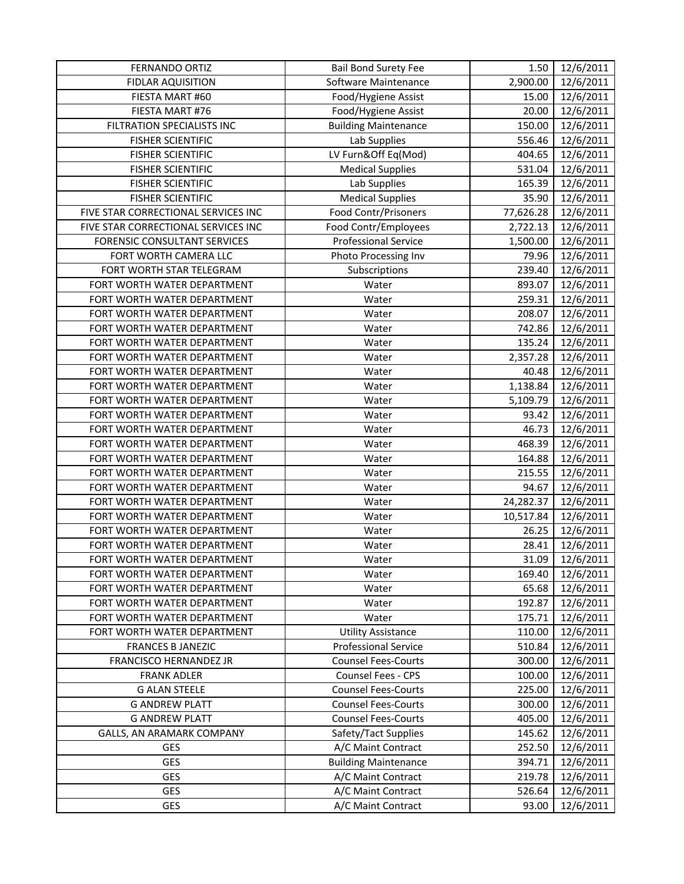| <b>FERNANDO ORTIZ</b>                          | <b>Bail Bond Surety Fee</b>                              | 1.50             | 12/6/2011              |
|------------------------------------------------|----------------------------------------------------------|------------------|------------------------|
| <b>FIDLAR AQUISITION</b>                       | Software Maintenance                                     | 2,900.00         | 12/6/2011              |
| FIESTA MART #60                                | Food/Hygiene Assist                                      | 15.00            | 12/6/2011              |
| FIESTA MART #76                                | Food/Hygiene Assist                                      | 20.00            | 12/6/2011              |
| FILTRATION SPECIALISTS INC                     | <b>Building Maintenance</b>                              | 150.00           | 12/6/2011              |
| <b>FISHER SCIENTIFIC</b>                       | Lab Supplies                                             | 556.46           | 12/6/2011              |
| <b>FISHER SCIENTIFIC</b>                       | LV Furn&Off Eq(Mod)                                      | 404.65           | 12/6/2011              |
| <b>FISHER SCIENTIFIC</b>                       | <b>Medical Supplies</b>                                  | 531.04           | 12/6/2011              |
| <b>FISHER SCIENTIFIC</b>                       | Lab Supplies                                             | 165.39           | 12/6/2011              |
| <b>FISHER SCIENTIFIC</b>                       | <b>Medical Supplies</b>                                  | 35.90            | 12/6/2011              |
| FIVE STAR CORRECTIONAL SERVICES INC            | Food Contr/Prisoners                                     | 77,626.28        | 12/6/2011              |
| FIVE STAR CORRECTIONAL SERVICES INC            | Food Contr/Employees                                     | 2,722.13         | 12/6/2011              |
| <b>FORENSIC CONSULTANT SERVICES</b>            | <b>Professional Service</b>                              | 1,500.00         | 12/6/2011              |
| FORT WORTH CAMERA LLC                          | Photo Processing Inv                                     | 79.96            | 12/6/2011              |
| FORT WORTH STAR TELEGRAM                       | Subscriptions                                            | 239.40           | 12/6/2011              |
| FORT WORTH WATER DEPARTMENT                    | Water                                                    | 893.07           | 12/6/2011              |
| FORT WORTH WATER DEPARTMENT                    | Water                                                    | 259.31           | 12/6/2011              |
| FORT WORTH WATER DEPARTMENT                    | Water                                                    | 208.07           | 12/6/2011              |
| FORT WORTH WATER DEPARTMENT                    | Water                                                    | 742.86           | 12/6/2011              |
| FORT WORTH WATER DEPARTMENT                    | Water                                                    | 135.24           | 12/6/2011              |
| FORT WORTH WATER DEPARTMENT                    | Water                                                    | 2,357.28         | 12/6/2011              |
| FORT WORTH WATER DEPARTMENT                    | Water                                                    | 40.48            | 12/6/2011              |
| FORT WORTH WATER DEPARTMENT                    | Water                                                    | 1,138.84         | 12/6/2011              |
| FORT WORTH WATER DEPARTMENT                    | Water                                                    | 5,109.79         | 12/6/2011              |
| FORT WORTH WATER DEPARTMENT                    | Water                                                    | 93.42            | 12/6/2011              |
| FORT WORTH WATER DEPARTMENT                    | Water                                                    | 46.73            | 12/6/2011              |
| FORT WORTH WATER DEPARTMENT                    | Water                                                    | 468.39           | 12/6/2011              |
| FORT WORTH WATER DEPARTMENT                    | Water                                                    | 164.88           | 12/6/2011              |
| FORT WORTH WATER DEPARTMENT                    | Water                                                    | 215.55           | 12/6/2011              |
| FORT WORTH WATER DEPARTMENT                    | Water                                                    | 94.67            | 12/6/2011              |
| FORT WORTH WATER DEPARTMENT                    | Water                                                    | 24,282.37        | 12/6/2011              |
| FORT WORTH WATER DEPARTMENT                    | Water                                                    | 10,517.84        | 12/6/2011              |
| FORT WORTH WATER DEPARTMENT                    | Water                                                    | 26.25            | 12/6/2011              |
| FORT WORTH WATER DEPARTMENT                    | Water                                                    | 28.41            | 12/6/2011              |
| FORT WORTH WATER DEPARTMENT                    | Water                                                    | 31.09            | 12/6/2011              |
| FORT WORTH WATER DEPARTMENT                    | Water                                                    | 169.40           | 12/6/2011              |
| FORT WORTH WATER DEPARTMENT                    | Water                                                    | 65.68            | 12/6/2011              |
| FORT WORTH WATER DEPARTMENT                    | Water                                                    | 192.87           | 12/6/2011              |
| FORT WORTH WATER DEPARTMENT                    | Water                                                    | 175.71           | 12/6/2011              |
| FORT WORTH WATER DEPARTMENT                    | <b>Utility Assistance</b>                                | 110.00           | 12/6/2011              |
| <b>FRANCES B JANEZIC</b>                       | <b>Professional Service</b>                              | 510.84           | 12/6/2011              |
| FRANCISCO HERNANDEZ JR                         | <b>Counsel Fees-Courts</b>                               | 300.00           | 12/6/2011              |
| <b>FRANK ADLER</b>                             | Counsel Fees - CPS<br><b>Counsel Fees-Courts</b>         | 100.00           | 12/6/2011              |
| <b>G ALAN STEELE</b>                           |                                                          | 225.00           | 12/6/2011              |
| <b>G ANDREW PLATT</b><br><b>G ANDREW PLATT</b> | <b>Counsel Fees-Courts</b><br><b>Counsel Fees-Courts</b> | 300.00<br>405.00 | 12/6/2011<br>12/6/2011 |
| GALLS, AN ARAMARK COMPANY                      | Safety/Tact Supplies                                     | 145.62           | 12/6/2011              |
| GES                                            | A/C Maint Contract                                       | 252.50           | 12/6/2011              |
| GES                                            | <b>Building Maintenance</b>                              | 394.71           | 12/6/2011              |
| <b>GES</b>                                     | A/C Maint Contract                                       | 219.78           | 12/6/2011              |
| <b>GES</b>                                     | A/C Maint Contract                                       | 526.64           | 12/6/2011              |
| GES                                            | A/C Maint Contract                                       | 93.00            | 12/6/2011              |
|                                                |                                                          |                  |                        |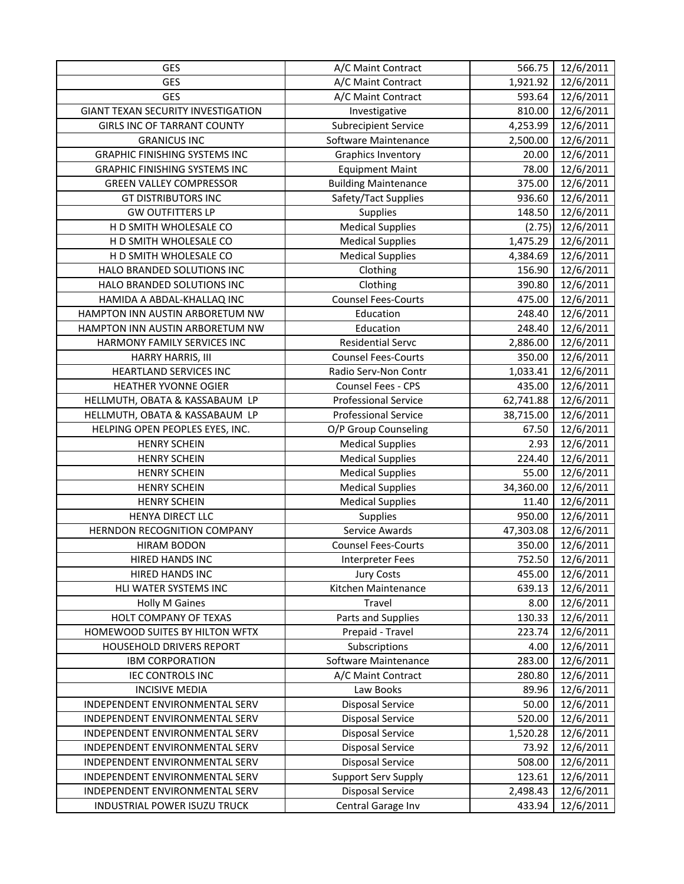| GES                                       | A/C Maint Contract          | 566.75    | 12/6/2011 |
|-------------------------------------------|-----------------------------|-----------|-----------|
| GES                                       | A/C Maint Contract          | 1,921.92  | 12/6/2011 |
| <b>GES</b>                                | A/C Maint Contract          | 593.64    | 12/6/2011 |
| <b>GIANT TEXAN SECURITY INVESTIGATION</b> | Investigative               | 810.00    | 12/6/2011 |
| <b>GIRLS INC OF TARRANT COUNTY</b>        | <b>Subrecipient Service</b> | 4,253.99  | 12/6/2011 |
| <b>GRANICUS INC</b>                       | Software Maintenance        | 2,500.00  | 12/6/2011 |
| <b>GRAPHIC FINISHING SYSTEMS INC</b>      | Graphics Inventory          | 20.00     | 12/6/2011 |
| <b>GRAPHIC FINISHING SYSTEMS INC</b>      | <b>Equipment Maint</b>      | 78.00     | 12/6/2011 |
| <b>GREEN VALLEY COMPRESSOR</b>            | <b>Building Maintenance</b> | 375.00    | 12/6/2011 |
| <b>GT DISTRIBUTORS INC</b>                | Safety/Tact Supplies        | 936.60    | 12/6/2011 |
| <b>GW OUTFITTERS LP</b>                   | Supplies                    | 148.50    | 12/6/2011 |
| H D SMITH WHOLESALE CO                    | <b>Medical Supplies</b>     | (2.75)    | 12/6/2011 |
| H D SMITH WHOLESALE CO                    | <b>Medical Supplies</b>     | 1,475.29  | 12/6/2011 |
| H D SMITH WHOLESALE CO                    | <b>Medical Supplies</b>     | 4,384.69  | 12/6/2011 |
| HALO BRANDED SOLUTIONS INC                | Clothing                    | 156.90    | 12/6/2011 |
| HALO BRANDED SOLUTIONS INC                | Clothing                    | 390.80    | 12/6/2011 |
| HAMIDA A ABDAL-KHALLAQ INC                | <b>Counsel Fees-Courts</b>  | 475.00    | 12/6/2011 |
| HAMPTON INN AUSTIN ARBORETUM NW           | Education                   | 248.40    | 12/6/2011 |
| HAMPTON INN AUSTIN ARBORETUM NW           | Education                   | 248.40    | 12/6/2011 |
| HARMONY FAMILY SERVICES INC               | <b>Residential Servc</b>    | 2,886.00  | 12/6/2011 |
| <b>HARRY HARRIS, III</b>                  | <b>Counsel Fees-Courts</b>  | 350.00    | 12/6/2011 |
| <b>HEARTLAND SERVICES INC</b>             | Radio Serv-Non Contr        | 1,033.41  | 12/6/2011 |
| HEATHER YVONNE OGIER                      | Counsel Fees - CPS          | 435.00    | 12/6/2011 |
| HELLMUTH, OBATA & KASSABAUM LP            | <b>Professional Service</b> | 62,741.88 | 12/6/2011 |
| HELLMUTH, OBATA & KASSABAUM LP            | <b>Professional Service</b> | 38,715.00 | 12/6/2011 |
| HELPING OPEN PEOPLES EYES, INC.           | O/P Group Counseling        | 67.50     | 12/6/2011 |
| <b>HENRY SCHEIN</b>                       | <b>Medical Supplies</b>     | 2.93      | 12/6/2011 |
| <b>HENRY SCHEIN</b>                       | <b>Medical Supplies</b>     | 224.40    | 12/6/2011 |
| <b>HENRY SCHEIN</b>                       | <b>Medical Supplies</b>     | 55.00     | 12/6/2011 |
| <b>HENRY SCHEIN</b>                       | <b>Medical Supplies</b>     | 34,360.00 | 12/6/2011 |
| <b>HENRY SCHEIN</b>                       | <b>Medical Supplies</b>     | 11.40     | 12/6/2011 |
| HENYA DIRECT LLC                          | Supplies                    | 950.00    | 12/6/2011 |
| HERNDON RECOGNITION COMPANY               | Service Awards              | 47,303.08 | 12/6/2011 |
| <b>HIRAM BODON</b>                        | <b>Counsel Fees-Courts</b>  | 350.00    | 12/6/2011 |
| HIRED HANDS INC                           | Interpreter Fees            | 752.50    | 12/6/2011 |
| <b>HIRED HANDS INC</b>                    | <b>Jury Costs</b>           | 455.00    | 12/6/2011 |
| HLI WATER SYSTEMS INC                     | Kitchen Maintenance         | 639.13    | 12/6/2011 |
| <b>Holly M Gaines</b>                     | Travel                      | 8.00      | 12/6/2011 |
| HOLT COMPANY OF TEXAS                     | Parts and Supplies          | 130.33    | 12/6/2011 |
| HOMEWOOD SUITES BY HILTON WFTX            | Prepaid - Travel            | 223.74    | 12/6/2011 |
| HOUSEHOLD DRIVERS REPORT                  | Subscriptions               | 4.00      | 12/6/2011 |
| <b>IBM CORPORATION</b>                    | Software Maintenance        | 283.00    | 12/6/2011 |
| <b>IEC CONTROLS INC</b>                   | A/C Maint Contract          | 280.80    | 12/6/2011 |
| <b>INCISIVE MEDIA</b>                     | Law Books                   | 89.96     | 12/6/2011 |
| INDEPENDENT ENVIRONMENTAL SERV            | <b>Disposal Service</b>     | 50.00     | 12/6/2011 |
| INDEPENDENT ENVIRONMENTAL SERV            | <b>Disposal Service</b>     | 520.00    | 12/6/2011 |
| INDEPENDENT ENVIRONMENTAL SERV            | <b>Disposal Service</b>     | 1,520.28  | 12/6/2011 |
| INDEPENDENT ENVIRONMENTAL SERV            | <b>Disposal Service</b>     | 73.92     | 12/6/2011 |
| INDEPENDENT ENVIRONMENTAL SERV            | <b>Disposal Service</b>     | 508.00    | 12/6/2011 |
| INDEPENDENT ENVIRONMENTAL SERV            | <b>Support Serv Supply</b>  | 123.61    | 12/6/2011 |
| INDEPENDENT ENVIRONMENTAL SERV            | <b>Disposal Service</b>     | 2,498.43  | 12/6/2011 |
| INDUSTRIAL POWER ISUZU TRUCK              | Central Garage Inv          | 433.94    | 12/6/2011 |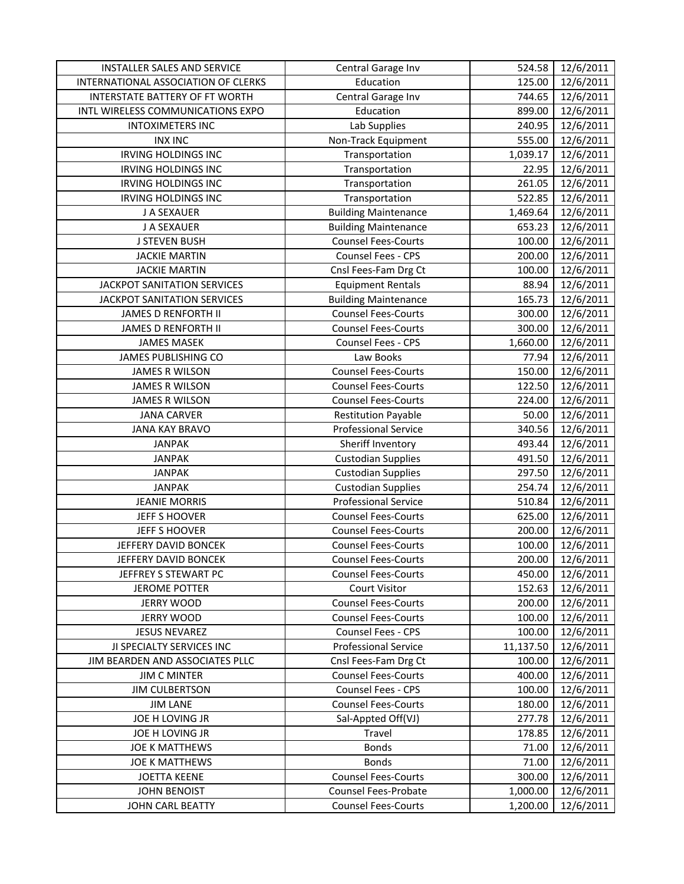| INSTALLER SALES AND SERVICE           | Central Garage Inv          | 524.58    | 12/6/2011 |
|---------------------------------------|-----------------------------|-----------|-----------|
| INTERNATIONAL ASSOCIATION OF CLERKS   | Education                   | 125.00    | 12/6/2011 |
| <b>INTERSTATE BATTERY OF FT WORTH</b> | Central Garage Inv          | 744.65    | 12/6/2011 |
| INTL WIRELESS COMMUNICATIONS EXPO     | Education                   | 899.00    | 12/6/2011 |
| <b>INTOXIMETERS INC</b>               | Lab Supplies                | 240.95    | 12/6/2011 |
| <b>INX INC</b>                        | Non-Track Equipment         | 555.00    | 12/6/2011 |
| <b>IRVING HOLDINGS INC</b>            | Transportation              | 1,039.17  | 12/6/2011 |
| <b>IRVING HOLDINGS INC</b>            | Transportation              | 22.95     | 12/6/2011 |
| <b>IRVING HOLDINGS INC</b>            | Transportation              | 261.05    | 12/6/2011 |
| <b>IRVING HOLDINGS INC</b>            | Transportation              | 522.85    | 12/6/2011 |
| J A SEXAUER                           | <b>Building Maintenance</b> | 1,469.64  | 12/6/2011 |
| J A SEXAUER                           | <b>Building Maintenance</b> | 653.23    | 12/6/2011 |
| <b>J STEVEN BUSH</b>                  | <b>Counsel Fees-Courts</b>  | 100.00    | 12/6/2011 |
| <b>JACKIE MARTIN</b>                  | Counsel Fees - CPS          | 200.00    | 12/6/2011 |
| <b>JACKIE MARTIN</b>                  | Cnsl Fees-Fam Drg Ct        | 100.00    | 12/6/2011 |
| <b>JACKPOT SANITATION SERVICES</b>    | <b>Equipment Rentals</b>    | 88.94     | 12/6/2011 |
| <b>JACKPOT SANITATION SERVICES</b>    | <b>Building Maintenance</b> | 165.73    | 12/6/2011 |
| <b>JAMES D RENFORTH II</b>            | <b>Counsel Fees-Courts</b>  | 300.00    | 12/6/2011 |
| <b>JAMES D RENFORTH II</b>            | <b>Counsel Fees-Courts</b>  | 300.00    | 12/6/2011 |
| <b>JAMES MASEK</b>                    | Counsel Fees - CPS          | 1,660.00  | 12/6/2011 |
| JAMES PUBLISHING CO                   | Law Books                   | 77.94     | 12/6/2011 |
| <b>JAMES R WILSON</b>                 | <b>Counsel Fees-Courts</b>  | 150.00    | 12/6/2011 |
| <b>JAMES R WILSON</b>                 | <b>Counsel Fees-Courts</b>  | 122.50    | 12/6/2011 |
| <b>JAMES R WILSON</b>                 | <b>Counsel Fees-Courts</b>  | 224.00    | 12/6/2011 |
| <b>JANA CARVER</b>                    | <b>Restitution Payable</b>  | 50.00     | 12/6/2011 |
| <b>JANA KAY BRAVO</b>                 | <b>Professional Service</b> | 340.56    | 12/6/2011 |
| <b>JANPAK</b>                         | Sheriff Inventory           | 493.44    | 12/6/2011 |
| <b>JANPAK</b>                         | <b>Custodian Supplies</b>   | 491.50    | 12/6/2011 |
| <b>JANPAK</b>                         | <b>Custodian Supplies</b>   | 297.50    | 12/6/2011 |
| <b>JANPAK</b>                         | <b>Custodian Supplies</b>   | 254.74    | 12/6/2011 |
| <b>JEANIE MORRIS</b>                  | <b>Professional Service</b> | 510.84    | 12/6/2011 |
| JEFF S HOOVER                         | <b>Counsel Fees-Courts</b>  | 625.00    | 12/6/2011 |
| JEFF S HOOVER                         | <b>Counsel Fees-Courts</b>  | 200.00    | 12/6/2011 |
| JEFFERY DAVID BONCEK                  | <b>Counsel Fees-Courts</b>  | 100.00    | 12/6/2011 |
| JEFFERY DAVID BONCEK                  | <b>Counsel Fees-Courts</b>  | 200.00    | 12/6/2011 |
| JEFFREY S STEWART PC                  | <b>Counsel Fees-Courts</b>  | 450.00    | 12/6/2011 |
| <b>JEROME POTTER</b>                  | <b>Court Visitor</b>        | 152.63    | 12/6/2011 |
| <b>JERRY WOOD</b>                     | <b>Counsel Fees-Courts</b>  | 200.00    | 12/6/2011 |
| <b>JERRY WOOD</b>                     | <b>Counsel Fees-Courts</b>  | 100.00    | 12/6/2011 |
| <b>JESUS NEVAREZ</b>                  | Counsel Fees - CPS          | 100.00    | 12/6/2011 |
| JI SPECIALTY SERVICES INC             | Professional Service        | 11,137.50 | 12/6/2011 |
| JIM BEARDEN AND ASSOCIATES PLLC       | Cnsl Fees-Fam Drg Ct        | 100.00    | 12/6/2011 |
| <b>JIM C MINTER</b>                   | <b>Counsel Fees-Courts</b>  | 400.00    | 12/6/2011 |
| <b>JIM CULBERTSON</b>                 | <b>Counsel Fees - CPS</b>   | 100.00    | 12/6/2011 |
| <b>JIM LANE</b>                       | <b>Counsel Fees-Courts</b>  | 180.00    | 12/6/2011 |
| JOE H LOVING JR                       | Sal-Appted Off(VJ)          | 277.78    | 12/6/2011 |
| JOE H LOVING JR                       | Travel                      | 178.85    | 12/6/2011 |
| <b>JOE K MATTHEWS</b>                 | <b>Bonds</b>                | 71.00     | 12/6/2011 |
| <b>JOE K MATTHEWS</b>                 | <b>Bonds</b>                | 71.00     | 12/6/2011 |
| <b>JOETTA KEENE</b>                   | <b>Counsel Fees-Courts</b>  | 300.00    | 12/6/2011 |
| <b>JOHN BENOIST</b>                   | Counsel Fees-Probate        | 1,000.00  | 12/6/2011 |
| JOHN CARL BEATTY                      | <b>Counsel Fees-Courts</b>  | 1,200.00  | 12/6/2011 |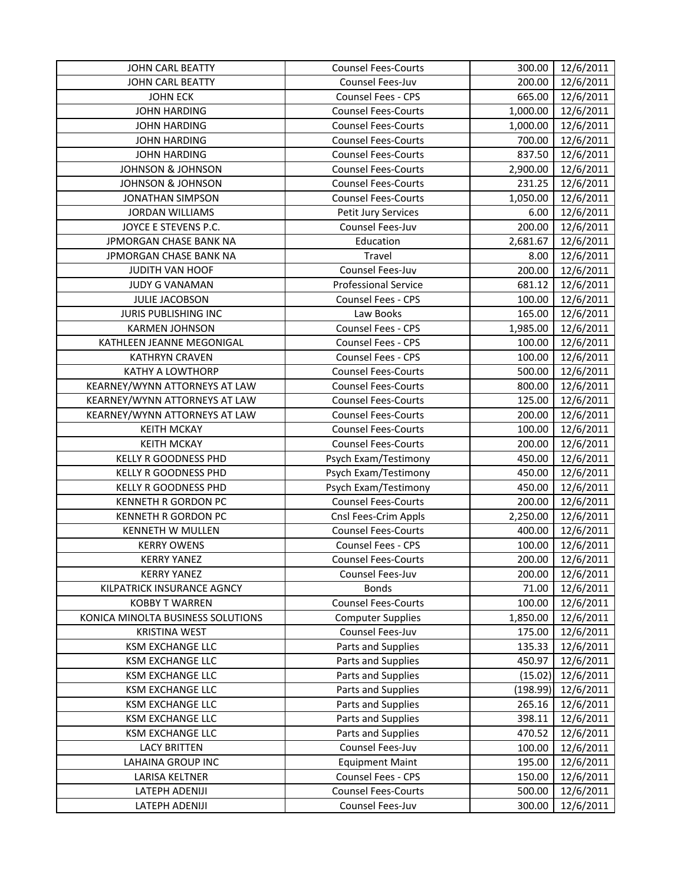| <b>JOHN CARL BEATTY</b>           | <b>Counsel Fees-Courts</b>  | 300.00   | 12/6/2011 |
|-----------------------------------|-----------------------------|----------|-----------|
| <b>JOHN CARL BEATTY</b>           | Counsel Fees-Juv            | 200.00   | 12/6/2011 |
| <b>JOHN ECK</b>                   | Counsel Fees - CPS          | 665.00   | 12/6/2011 |
| <b>JOHN HARDING</b>               | <b>Counsel Fees-Courts</b>  | 1,000.00 | 12/6/2011 |
| <b>JOHN HARDING</b>               | <b>Counsel Fees-Courts</b>  | 1,000.00 | 12/6/2011 |
| <b>JOHN HARDING</b>               | <b>Counsel Fees-Courts</b>  | 700.00   | 12/6/2011 |
| <b>JOHN HARDING</b>               | <b>Counsel Fees-Courts</b>  | 837.50   | 12/6/2011 |
| <b>JOHNSON &amp; JOHNSON</b>      | <b>Counsel Fees-Courts</b>  | 2,900.00 | 12/6/2011 |
| <b>JOHNSON &amp; JOHNSON</b>      | <b>Counsel Fees-Courts</b>  | 231.25   | 12/6/2011 |
| <b>JONATHAN SIMPSON</b>           | <b>Counsel Fees-Courts</b>  | 1,050.00 | 12/6/2011 |
| <b>JORDAN WILLIAMS</b>            | Petit Jury Services         | 6.00     | 12/6/2011 |
| JOYCE E STEVENS P.C.              | Counsel Fees-Juv            | 200.00   | 12/6/2011 |
| JPMORGAN CHASE BANK NA            | Education                   | 2,681.67 | 12/6/2011 |
| JPMORGAN CHASE BANK NA            | Travel                      | 8.00     | 12/6/2011 |
| JUDITH VAN HOOF                   | Counsel Fees-Juv            | 200.00   | 12/6/2011 |
| <b>JUDY G VANAMAN</b>             | <b>Professional Service</b> | 681.12   | 12/6/2011 |
| <b>JULIE JACOBSON</b>             | Counsel Fees - CPS          | 100.00   | 12/6/2011 |
| JURIS PUBLISHING INC              | Law Books                   | 165.00   | 12/6/2011 |
| <b>KARMEN JOHNSON</b>             | Counsel Fees - CPS          | 1,985.00 | 12/6/2011 |
| KATHLEEN JEANNE MEGONIGAL         | Counsel Fees - CPS          | 100.00   | 12/6/2011 |
| <b>KATHRYN CRAVEN</b>             | Counsel Fees - CPS          | 100.00   | 12/6/2011 |
| KATHY A LOWTHORP                  | <b>Counsel Fees-Courts</b>  | 500.00   | 12/6/2011 |
| KEARNEY/WYNN ATTORNEYS AT LAW     | <b>Counsel Fees-Courts</b>  | 800.00   | 12/6/2011 |
| KEARNEY/WYNN ATTORNEYS AT LAW     | <b>Counsel Fees-Courts</b>  | 125.00   | 12/6/2011 |
| KEARNEY/WYNN ATTORNEYS AT LAW     | <b>Counsel Fees-Courts</b>  | 200.00   | 12/6/2011 |
| <b>KEITH MCKAY</b>                | <b>Counsel Fees-Courts</b>  | 100.00   | 12/6/2011 |
| <b>KEITH MCKAY</b>                | <b>Counsel Fees-Courts</b>  | 200.00   | 12/6/2011 |
| KELLY R GOODNESS PHD              | Psych Exam/Testimony        | 450.00   | 12/6/2011 |
| KELLY R GOODNESS PHD              | Psych Exam/Testimony        | 450.00   | 12/6/2011 |
| KELLY R GOODNESS PHD              | Psych Exam/Testimony        | 450.00   | 12/6/2011 |
| <b>KENNETH R GORDON PC</b>        | <b>Counsel Fees-Courts</b>  | 200.00   | 12/6/2011 |
| <b>KENNETH R GORDON PC</b>        | Cnsl Fees-Crim Appls        | 2,250.00 | 12/6/2011 |
| <b>KENNETH W MULLEN</b>           | <b>Counsel Fees-Courts</b>  | 400.00   | 12/6/2011 |
| <b>KERRY OWENS</b>                | Counsel Fees - CPS          | 100.00   | 12/6/2011 |
| <b>KERRY YANEZ</b>                | <b>Counsel Fees-Courts</b>  | 200.00   | 12/6/2011 |
| <b>KERRY YANEZ</b>                | Counsel Fees-Juv            | 200.00   | 12/6/2011 |
| KILPATRICK INSURANCE AGNCY        | <b>Bonds</b>                | 71.00    | 12/6/2011 |
| <b>KOBBY T WARREN</b>             | <b>Counsel Fees-Courts</b>  | 100.00   | 12/6/2011 |
| KONICA MINOLTA BUSINESS SOLUTIONS | <b>Computer Supplies</b>    | 1,850.00 | 12/6/2011 |
| <b>KRISTINA WEST</b>              | Counsel Fees-Juv            | 175.00   | 12/6/2011 |
| <b>KSM EXCHANGE LLC</b>           | Parts and Supplies          | 135.33   | 12/6/2011 |
| <b>KSM EXCHANGE LLC</b>           | Parts and Supplies          | 450.97   | 12/6/2011 |
| <b>KSM EXCHANGE LLC</b>           | Parts and Supplies          | (15.02)  | 12/6/2011 |
| <b>KSM EXCHANGE LLC</b>           | Parts and Supplies          | (198.99) | 12/6/2011 |
| <b>KSM EXCHANGE LLC</b>           | Parts and Supplies          | 265.16   | 12/6/2011 |
| <b>KSM EXCHANGE LLC</b>           | Parts and Supplies          | 398.11   | 12/6/2011 |
| <b>KSM EXCHANGE LLC</b>           | Parts and Supplies          | 470.52   | 12/6/2011 |
| <b>LACY BRITTEN</b>               | Counsel Fees-Juv            | 100.00   | 12/6/2011 |
| <b>LAHAINA GROUP INC</b>          | <b>Equipment Maint</b>      | 195.00   | 12/6/2011 |
| LARISA KELTNER                    | Counsel Fees - CPS          | 150.00   | 12/6/2011 |
| LATEPH ADENIJI                    | <b>Counsel Fees-Courts</b>  | 500.00   | 12/6/2011 |
| LATEPH ADENIJI                    | Counsel Fees-Juv            | 300.00   | 12/6/2011 |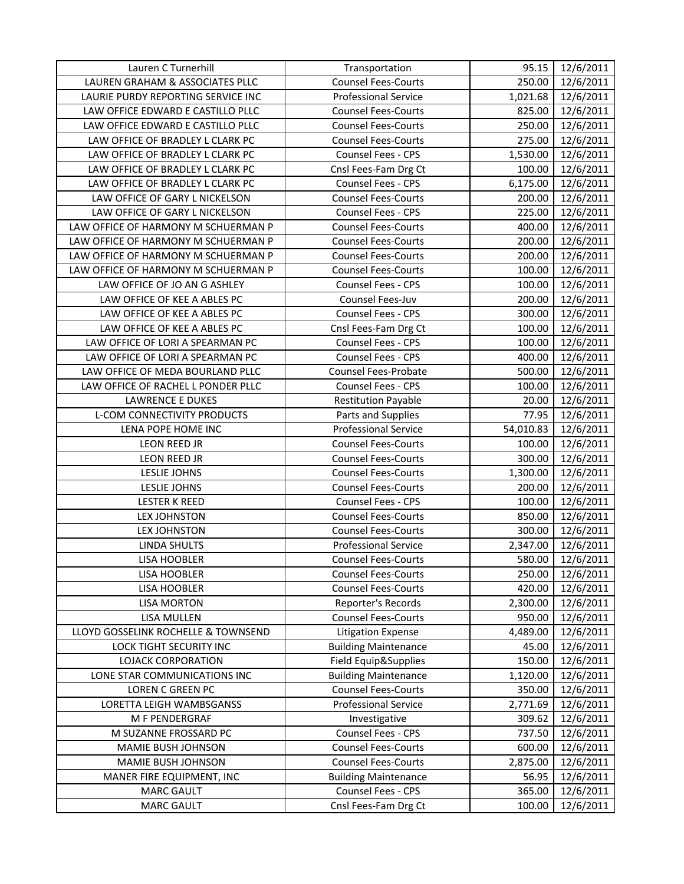| Lauren C Turnerhill                 | Transportation              | 95.15     | 12/6/2011 |
|-------------------------------------|-----------------------------|-----------|-----------|
| LAUREN GRAHAM & ASSOCIATES PLLC     | <b>Counsel Fees-Courts</b>  | 250.00    | 12/6/2011 |
| LAURIE PURDY REPORTING SERVICE INC  | <b>Professional Service</b> | 1,021.68  | 12/6/2011 |
| LAW OFFICE EDWARD E CASTILLO PLLC   | <b>Counsel Fees-Courts</b>  | 825.00    | 12/6/2011 |
| LAW OFFICE EDWARD E CASTILLO PLLC   | <b>Counsel Fees-Courts</b>  | 250.00    | 12/6/2011 |
| LAW OFFICE OF BRADLEY L CLARK PC    | <b>Counsel Fees-Courts</b>  | 275.00    | 12/6/2011 |
| LAW OFFICE OF BRADLEY L CLARK PC    | Counsel Fees - CPS          | 1,530.00  | 12/6/2011 |
| LAW OFFICE OF BRADLEY L CLARK PC    | Cnsl Fees-Fam Drg Ct        | 100.00    | 12/6/2011 |
| LAW OFFICE OF BRADLEY L CLARK PC    | Counsel Fees - CPS          | 6,175.00  | 12/6/2011 |
| LAW OFFICE OF GARY L NICKELSON      | <b>Counsel Fees-Courts</b>  | 200.00    | 12/6/2011 |
| LAW OFFICE OF GARY L NICKELSON      | Counsel Fees - CPS          | 225.00    | 12/6/2011 |
| LAW OFFICE OF HARMONY M SCHUERMAN P | <b>Counsel Fees-Courts</b>  | 400.00    | 12/6/2011 |
| LAW OFFICE OF HARMONY M SCHUERMAN P | <b>Counsel Fees-Courts</b>  | 200.00    | 12/6/2011 |
| LAW OFFICE OF HARMONY M SCHUERMAN P | <b>Counsel Fees-Courts</b>  | 200.00    | 12/6/2011 |
| LAW OFFICE OF HARMONY M SCHUERMAN P | <b>Counsel Fees-Courts</b>  | 100.00    | 12/6/2011 |
| LAW OFFICE OF JO AN G ASHLEY        | Counsel Fees - CPS          | 100.00    | 12/6/2011 |
| LAW OFFICE OF KEE A ABLES PC        | Counsel Fees-Juv            | 200.00    | 12/6/2011 |
| LAW OFFICE OF KEE A ABLES PC        | Counsel Fees - CPS          | 300.00    | 12/6/2011 |
| LAW OFFICE OF KEE A ABLES PC        | Cnsl Fees-Fam Drg Ct        | 100.00    | 12/6/2011 |
| LAW OFFICE OF LORI A SPEARMAN PC    | Counsel Fees - CPS          | 100.00    | 12/6/2011 |
| LAW OFFICE OF LORI A SPEARMAN PC    | Counsel Fees - CPS          | 400.00    | 12/6/2011 |
| LAW OFFICE OF MEDA BOURLAND PLLC    | Counsel Fees-Probate        | 500.00    | 12/6/2011 |
| LAW OFFICE OF RACHEL L PONDER PLLC  | Counsel Fees - CPS          | 100.00    | 12/6/2011 |
| <b>LAWRENCE E DUKES</b>             | <b>Restitution Payable</b>  | 20.00     | 12/6/2011 |
| L-COM CONNECTIVITY PRODUCTS         | Parts and Supplies          | 77.95     | 12/6/2011 |
| LENA POPE HOME INC                  | <b>Professional Service</b> | 54,010.83 | 12/6/2011 |
| LEON REED JR                        | <b>Counsel Fees-Courts</b>  | 100.00    | 12/6/2011 |
| LEON REED JR                        | <b>Counsel Fees-Courts</b>  | 300.00    | 12/6/2011 |
| LESLIE JOHNS                        | <b>Counsel Fees-Courts</b>  | 1,300.00  | 12/6/2011 |
| LESLIE JOHNS                        | <b>Counsel Fees-Courts</b>  | 200.00    | 12/6/2011 |
| <b>LESTER K REED</b>                | Counsel Fees - CPS          | 100.00    | 12/6/2011 |
| LEX JOHNSTON                        | <b>Counsel Fees-Courts</b>  | 850.00    | 12/6/2011 |
| <b>LEX JOHNSTON</b>                 | <b>Counsel Fees-Courts</b>  | 300.00    | 12/6/2011 |
| <b>LINDA SHULTS</b>                 | <b>Professional Service</b> | 2,347.00  | 12/6/2011 |
| LISA HOOBLER                        | <b>Counsel Fees-Courts</b>  | 580.00    | 12/6/2011 |
| LISA HOOBLER                        | <b>Counsel Fees-Courts</b>  | 250.00    | 12/6/2011 |
| LISA HOOBLER                        | <b>Counsel Fees-Courts</b>  | 420.00    | 12/6/2011 |
| <b>LISA MORTON</b>                  | Reporter's Records          | 2,300.00  | 12/6/2011 |
| LISA MULLEN                         | <b>Counsel Fees-Courts</b>  | 950.00    | 12/6/2011 |
| LLOYD GOSSELINK ROCHELLE & TOWNSEND | Litigation Expense          | 4,489.00  | 12/6/2011 |
| LOCK TIGHT SECURITY INC             | <b>Building Maintenance</b> | 45.00     | 12/6/2011 |
| <b>LOJACK CORPORATION</b>           | Field Equip&Supplies        | 150.00    | 12/6/2011 |
| LONE STAR COMMUNICATIONS INC        | <b>Building Maintenance</b> | 1,120.00  | 12/6/2011 |
| <b>LOREN C GREEN PC</b>             | <b>Counsel Fees-Courts</b>  | 350.00    | 12/6/2011 |
| LORETTA LEIGH WAMBSGANSS            | <b>Professional Service</b> | 2,771.69  | 12/6/2011 |
| M F PENDERGRAF                      | Investigative               | 309.62    | 12/6/2011 |
| M SUZANNE FROSSARD PC               | Counsel Fees - CPS          | 737.50    | 12/6/2011 |
| MAMIE BUSH JOHNSON                  | <b>Counsel Fees-Courts</b>  | 600.00    | 12/6/2011 |
| MAMIE BUSH JOHNSON                  | <b>Counsel Fees-Courts</b>  | 2,875.00  | 12/6/2011 |
| MANER FIRE EQUIPMENT, INC           | <b>Building Maintenance</b> | 56.95     | 12/6/2011 |
| <b>MARC GAULT</b>                   | Counsel Fees - CPS          | 365.00    | 12/6/2011 |
| <b>MARC GAULT</b>                   | Cnsl Fees-Fam Drg Ct        | 100.00    | 12/6/2011 |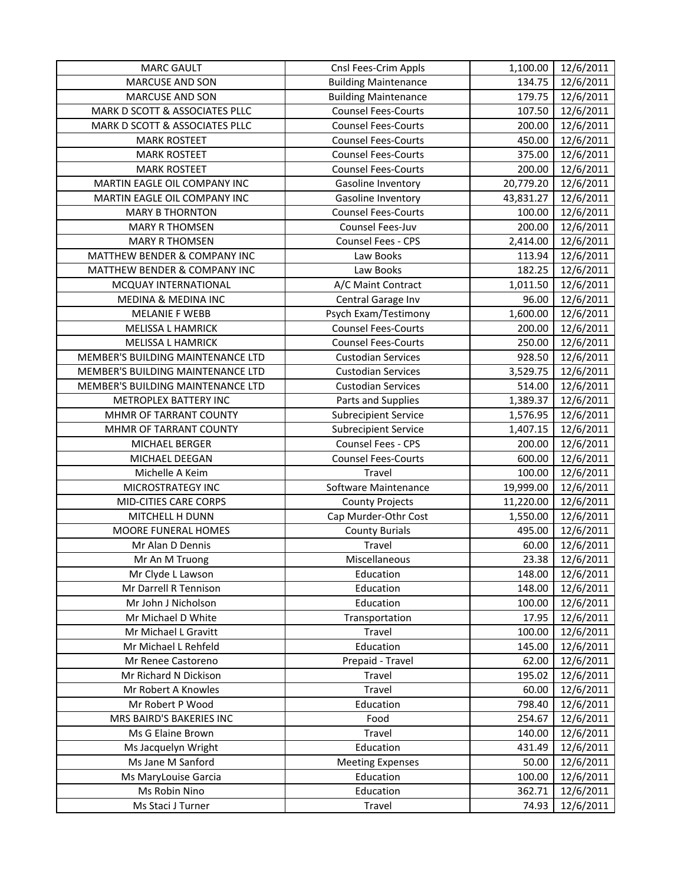| <b>MARC GAULT</b>                 | Cnsl Fees-Crim Appls        | 1,100.00  | 12/6/2011             |
|-----------------------------------|-----------------------------|-----------|-----------------------|
| <b>MARCUSE AND SON</b>            | <b>Building Maintenance</b> | 134.75    | 12/6/2011             |
| MARCUSE AND SON                   | <b>Building Maintenance</b> | 179.75    | 12/6/2011             |
| MARK D SCOTT & ASSOCIATES PLLC    | <b>Counsel Fees-Courts</b>  | 107.50    | 12/6/2011             |
| MARK D SCOTT & ASSOCIATES PLLC    | <b>Counsel Fees-Courts</b>  | 200.00    | 12/6/2011             |
| <b>MARK ROSTEET</b>               | <b>Counsel Fees-Courts</b>  | 450.00    | 12/6/2011             |
| <b>MARK ROSTEET</b>               | <b>Counsel Fees-Courts</b>  | 375.00    | 12/6/2011             |
| <b>MARK ROSTEET</b>               | <b>Counsel Fees-Courts</b>  | 200.00    | 12/6/2011             |
| MARTIN EAGLE OIL COMPANY INC      | Gasoline Inventory          | 20,779.20 | 12/6/2011             |
| MARTIN EAGLE OIL COMPANY INC      | Gasoline Inventory          | 43,831.27 | 12/6/2011             |
| <b>MARY B THORNTON</b>            | <b>Counsel Fees-Courts</b>  | 100.00    | 12/6/2011             |
| <b>MARY R THOMSEN</b>             | Counsel Fees-Juv            | 200.00    | 12/6/2011             |
| <b>MARY R THOMSEN</b>             | Counsel Fees - CPS          | 2,414.00  | 12/6/2011             |
| MATTHEW BENDER & COMPANY INC      | Law Books                   | 113.94    | $\frac{1}{12}/6/2011$ |
| MATTHEW BENDER & COMPANY INC      | Law Books                   | 182.25    | 12/6/2011             |
| MCQUAY INTERNATIONAL              | A/C Maint Contract          | 1,011.50  | 12/6/2011             |
| MEDINA & MEDINA INC               | Central Garage Inv          | 96.00     | 12/6/2011             |
| <b>MELANIE F WEBB</b>             | Psych Exam/Testimony        | 1,600.00  | 12/6/2011             |
| MELISSA L HAMRICK                 | <b>Counsel Fees-Courts</b>  | 200.00    | 12/6/2011             |
| MELISSA L HAMRICK                 | <b>Counsel Fees-Courts</b>  | 250.00    | 12/6/2011             |
| MEMBER'S BUILDING MAINTENANCE LTD | <b>Custodian Services</b>   | 928.50    | 12/6/2011             |
| MEMBER'S BUILDING MAINTENANCE LTD | <b>Custodian Services</b>   | 3,529.75  | 12/6/2011             |
| MEMBER'S BUILDING MAINTENANCE LTD | <b>Custodian Services</b>   | 514.00    | 12/6/2011             |
| METROPLEX BATTERY INC             | Parts and Supplies          | 1,389.37  | 12/6/2011             |
| MHMR OF TARRANT COUNTY            | <b>Subrecipient Service</b> | 1,576.95  | 12/6/2011             |
| MHMR OF TARRANT COUNTY            | <b>Subrecipient Service</b> | 1,407.15  | 12/6/2011             |
| MICHAEL BERGER                    | Counsel Fees - CPS          | 200.00    | 12/6/2011             |
| MICHAEL DEEGAN                    | <b>Counsel Fees-Courts</b>  | 600.00    | 12/6/2011             |
| Michelle A Keim                   | Travel                      | 100.00    | 12/6/2011             |
| MICROSTRATEGY INC                 | Software Maintenance        | 19,999.00 | 12/6/2011             |
| MID-CITIES CARE CORPS             | <b>County Projects</b>      | 11,220.00 | 12/6/2011             |
| MITCHELL H DUNN                   | Cap Murder-Othr Cost        | 1,550.00  | 12/6/2011             |
| MOORE FUNERAL HOMES               | <b>County Burials</b>       | 495.00    | 12/6/2011             |
| Mr Alan D Dennis                  | Travel                      | 60.00     | 12/6/2011             |
| Mr An M Truong                    | Miscellaneous               | 23.38     | 12/6/2011             |
| Mr Clyde L Lawson                 | Education                   | 148.00    | 12/6/2011             |
| Mr Darrell R Tennison             | Education                   | 148.00    | 12/6/2011             |
| Mr John J Nicholson               | Education                   | 100.00    | 12/6/2011             |
| Mr Michael D White                | Transportation              | 17.95     | 12/6/2011             |
| Mr Michael L Gravitt              | Travel                      | 100.00    | 12/6/2011             |
| Mr Michael L Rehfeld              | Education                   | 145.00    | 12/6/2011             |
| Mr Renee Castoreno                | Prepaid - Travel            | 62.00     | 12/6/2011             |
| Mr Richard N Dickison             | Travel                      | 195.02    | 12/6/2011             |
| Mr Robert A Knowles               | Travel                      | 60.00     | 12/6/2011             |
| Mr Robert P Wood                  | Education                   | 798.40    | 12/6/2011             |
| MRS BAIRD'S BAKERIES INC          | Food                        | 254.67    | 12/6/2011             |
| Ms G Elaine Brown                 | Travel                      | 140.00    | 12/6/2011             |
| Ms Jacquelyn Wright               | Education                   | 431.49    | 12/6/2011             |
| Ms Jane M Sanford                 | <b>Meeting Expenses</b>     | 50.00     | 12/6/2011             |
| Ms MaryLouise Garcia              | Education                   | 100.00    | 12/6/2011             |
| Ms Robin Nino                     | Education                   | 362.71    | 12/6/2011             |
| Ms Staci J Turner                 | Travel                      | 74.93     | 12/6/2011             |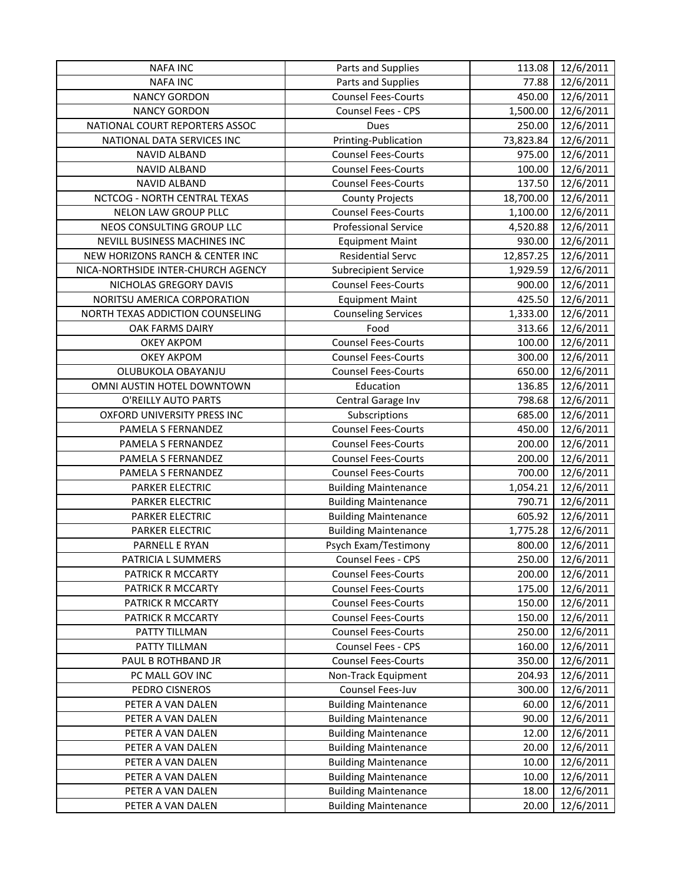| <b>NAFA INC</b>                    | Parts and Supplies          | 113.08    | 12/6/2011 |
|------------------------------------|-----------------------------|-----------|-----------|
| <b>NAFA INC</b>                    | Parts and Supplies          | 77.88     | 12/6/2011 |
| <b>NANCY GORDON</b>                | <b>Counsel Fees-Courts</b>  | 450.00    | 12/6/2011 |
| <b>NANCY GORDON</b>                | Counsel Fees - CPS          | 1,500.00  | 12/6/2011 |
| NATIONAL COURT REPORTERS ASSOC     | Dues                        | 250.00    | 12/6/2011 |
| NATIONAL DATA SERVICES INC         | Printing-Publication        | 73,823.84 | 12/6/2011 |
| <b>NAVID ALBAND</b>                | <b>Counsel Fees-Courts</b>  | 975.00    | 12/6/2011 |
| <b>NAVID ALBAND</b>                | <b>Counsel Fees-Courts</b>  | 100.00    | 12/6/2011 |
| NAVID ALBAND                       | <b>Counsel Fees-Courts</b>  | 137.50    | 12/6/2011 |
| NCTCOG - NORTH CENTRAL TEXAS       | <b>County Projects</b>      | 18,700.00 | 12/6/2011 |
| NELON LAW GROUP PLLC               | <b>Counsel Fees-Courts</b>  | 1,100.00  | 12/6/2011 |
| NEOS CONSULTING GROUP LLC          | <b>Professional Service</b> | 4,520.88  | 12/6/2011 |
| NEVILL BUSINESS MACHINES INC       | <b>Equipment Maint</b>      | 930.00    | 12/6/2011 |
| NEW HORIZONS RANCH & CENTER INC    | <b>Residential Servc</b>    | 12,857.25 | 12/6/2011 |
| NICA-NORTHSIDE INTER-CHURCH AGENCY | <b>Subrecipient Service</b> | 1,929.59  | 12/6/2011 |
| NICHOLAS GREGORY DAVIS             | <b>Counsel Fees-Courts</b>  | 900.00    | 12/6/2011 |
| NORITSU AMERICA CORPORATION        | <b>Equipment Maint</b>      | 425.50    | 12/6/2011 |
| NORTH TEXAS ADDICTION COUNSELING   | <b>Counseling Services</b>  | 1,333.00  | 12/6/2011 |
| OAK FARMS DAIRY                    | Food                        | 313.66    | 12/6/2011 |
| <b>OKEY AKPOM</b>                  | <b>Counsel Fees-Courts</b>  | 100.00    | 12/6/2011 |
| <b>OKEY AKPOM</b>                  | <b>Counsel Fees-Courts</b>  | 300.00    | 12/6/2011 |
| OLUBUKOLA OBAYANJU                 | <b>Counsel Fees-Courts</b>  | 650.00    | 12/6/2011 |
| OMNI AUSTIN HOTEL DOWNTOWN         | Education                   | 136.85    | 12/6/2011 |
| O'REILLY AUTO PARTS                | Central Garage Inv          | 798.68    | 12/6/2011 |
| OXFORD UNIVERSITY PRESS INC        | Subscriptions               | 685.00    | 12/6/2011 |
| PAMELA S FERNANDEZ                 | <b>Counsel Fees-Courts</b>  | 450.00    | 12/6/2011 |
| PAMELA S FERNANDEZ                 | <b>Counsel Fees-Courts</b>  | 200.00    | 12/6/2011 |
| PAMELA S FERNANDEZ                 | <b>Counsel Fees-Courts</b>  | 200.00    | 12/6/2011 |
| PAMELA S FERNANDEZ                 | <b>Counsel Fees-Courts</b>  | 700.00    | 12/6/2011 |
| PARKER ELECTRIC                    | <b>Building Maintenance</b> | 1,054.21  | 12/6/2011 |
| PARKER ELECTRIC                    | <b>Building Maintenance</b> | 790.71    | 12/6/2011 |
| <b>PARKER ELECTRIC</b>             | <b>Building Maintenance</b> | 605.92    | 12/6/2011 |
| <b>PARKER ELECTRIC</b>             | <b>Building Maintenance</b> | 1,775.28  | 12/6/2011 |
| PARNELL E RYAN                     | Psych Exam/Testimony        | 800.00    | 12/6/2011 |
| PATRICIA L SUMMERS                 | Counsel Fees - CPS          | 250.00    | 12/6/2011 |
| PATRICK R MCCARTY                  | <b>Counsel Fees-Courts</b>  | 200.00    | 12/6/2011 |
| PATRICK R MCCARTY                  | <b>Counsel Fees-Courts</b>  | 175.00    | 12/6/2011 |
| PATRICK R MCCARTY                  | <b>Counsel Fees-Courts</b>  | 150.00    | 12/6/2011 |
| PATRICK R MCCARTY                  | <b>Counsel Fees-Courts</b>  | 150.00    | 12/6/2011 |
| PATTY TILLMAN                      | <b>Counsel Fees-Courts</b>  | 250.00    | 12/6/2011 |
| PATTY TILLMAN                      | Counsel Fees - CPS          | 160.00    | 12/6/2011 |
| PAUL B ROTHBAND JR                 | <b>Counsel Fees-Courts</b>  | 350.00    | 12/6/2011 |
| PC MALL GOV INC                    | Non-Track Equipment         | 204.93    | 12/6/2011 |
| PEDRO CISNEROS                     | Counsel Fees-Juv            | 300.00    | 12/6/2011 |
| PETER A VAN DALEN                  | <b>Building Maintenance</b> | 60.00     | 12/6/2011 |
| PETER A VAN DALEN                  | <b>Building Maintenance</b> | 90.00     | 12/6/2011 |
| PETER A VAN DALEN                  | <b>Building Maintenance</b> | 12.00     | 12/6/2011 |
| PETER A VAN DALEN                  | <b>Building Maintenance</b> | 20.00     | 12/6/2011 |
| PETER A VAN DALEN                  | <b>Building Maintenance</b> | 10.00     | 12/6/2011 |
| PETER A VAN DALEN                  | <b>Building Maintenance</b> | 10.00     | 12/6/2011 |
| PETER A VAN DALEN                  | <b>Building Maintenance</b> | 18.00     | 12/6/2011 |
| PETER A VAN DALEN                  | <b>Building Maintenance</b> | 20.00     | 12/6/2011 |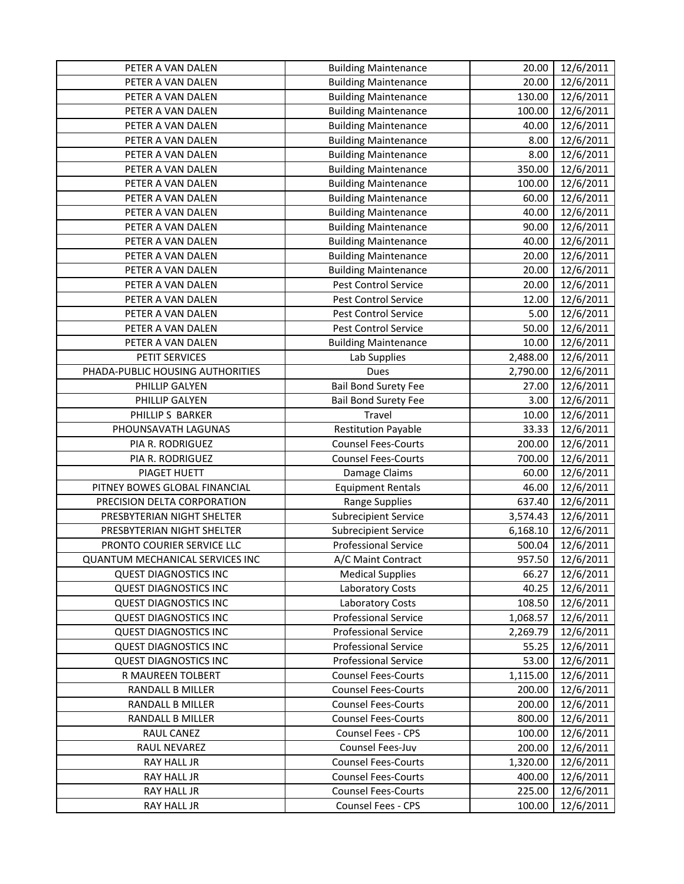| PETER A VAN DALEN                      | <b>Building Maintenance</b> | 20.00    | 12/6/2011 |
|----------------------------------------|-----------------------------|----------|-----------|
| PETER A VAN DALEN                      | <b>Building Maintenance</b> | 20.00    | 12/6/2011 |
| PETER A VAN DALEN                      | <b>Building Maintenance</b> | 130.00   | 12/6/2011 |
| PETER A VAN DALEN                      | <b>Building Maintenance</b> | 100.00   | 12/6/2011 |
| PETER A VAN DALEN                      | <b>Building Maintenance</b> | 40.00    | 12/6/2011 |
| PETER A VAN DALEN                      | <b>Building Maintenance</b> | 8.00     | 12/6/2011 |
| PETER A VAN DALEN                      | <b>Building Maintenance</b> | 8.00     | 12/6/2011 |
| PETER A VAN DALEN                      | <b>Building Maintenance</b> | 350.00   | 12/6/2011 |
| PETER A VAN DALEN                      | <b>Building Maintenance</b> | 100.00   | 12/6/2011 |
| PETER A VAN DALEN                      | <b>Building Maintenance</b> | 60.00    | 12/6/2011 |
| PETER A VAN DALEN                      | <b>Building Maintenance</b> | 40.00    | 12/6/2011 |
| PETER A VAN DALEN                      | <b>Building Maintenance</b> | 90.00    | 12/6/2011 |
| PETER A VAN DALEN                      | <b>Building Maintenance</b> | 40.00    | 12/6/2011 |
| PETER A VAN DALEN                      | <b>Building Maintenance</b> | 20.00    | 12/6/2011 |
| PETER A VAN DALEN                      | <b>Building Maintenance</b> | 20.00    | 12/6/2011 |
| PETER A VAN DALEN                      | Pest Control Service        | 20.00    | 12/6/2011 |
| PETER A VAN DALEN                      | Pest Control Service        | 12.00    | 12/6/2011 |
| PETER A VAN DALEN                      | Pest Control Service        | 5.00     | 12/6/2011 |
| PETER A VAN DALEN                      | Pest Control Service        | 50.00    | 12/6/2011 |
| PETER A VAN DALEN                      | <b>Building Maintenance</b> | 10.00    | 12/6/2011 |
| PETIT SERVICES                         | Lab Supplies                | 2,488.00 | 12/6/2011 |
| PHADA-PUBLIC HOUSING AUTHORITIES       | Dues                        | 2,790.00 | 12/6/2011 |
| PHILLIP GALYEN                         | <b>Bail Bond Surety Fee</b> | 27.00    | 12/6/2011 |
| PHILLIP GALYEN                         | <b>Bail Bond Surety Fee</b> | 3.00     | 12/6/2011 |
| PHILLIP S BARKER                       | Travel                      | 10.00    | 12/6/2011 |
| PHOUNSAVATH LAGUNAS                    | <b>Restitution Payable</b>  | 33.33    | 12/6/2011 |
| PIA R. RODRIGUEZ                       | <b>Counsel Fees-Courts</b>  | 200.00   | 12/6/2011 |
| PIA R. RODRIGUEZ                       | <b>Counsel Fees-Courts</b>  | 700.00   | 12/6/2011 |
| PIAGET HUETT                           | Damage Claims               | 60.00    | 12/6/2011 |
| PITNEY BOWES GLOBAL FINANCIAL          | <b>Equipment Rentals</b>    | 46.00    | 12/6/2011 |
| PRECISION DELTA CORPORATION            | <b>Range Supplies</b>       | 637.40   | 12/6/2011 |
| PRESBYTERIAN NIGHT SHELTER             | <b>Subrecipient Service</b> | 3,574.43 | 12/6/2011 |
| PRESBYTERIAN NIGHT SHELTER             | <b>Subrecipient Service</b> | 6,168.10 | 12/6/2011 |
| PRONTO COURIER SERVICE LLC             | <b>Professional Service</b> | 500.04   | 12/6/2011 |
| <b>QUANTUM MECHANICAL SERVICES INC</b> | A/C Maint Contract          | 957.50   | 12/6/2011 |
| <b>QUEST DIAGNOSTICS INC</b>           | <b>Medical Supplies</b>     | 66.27    | 12/6/2011 |
| <b>QUEST DIAGNOSTICS INC</b>           | <b>Laboratory Costs</b>     | 40.25    | 12/6/2011 |
| <b>QUEST DIAGNOSTICS INC</b>           | <b>Laboratory Costs</b>     | 108.50   | 12/6/2011 |
| <b>QUEST DIAGNOSTICS INC</b>           | <b>Professional Service</b> | 1,068.57 | 12/6/2011 |
| <b>QUEST DIAGNOSTICS INC</b>           | <b>Professional Service</b> | 2,269.79 | 12/6/2011 |
| <b>QUEST DIAGNOSTICS INC</b>           | <b>Professional Service</b> | 55.25    | 12/6/2011 |
| <b>QUEST DIAGNOSTICS INC</b>           | <b>Professional Service</b> | 53.00    | 12/6/2011 |
| R MAUREEN TOLBERT                      | <b>Counsel Fees-Courts</b>  | 1,115.00 | 12/6/2011 |
| <b>RANDALL B MILLER</b>                | <b>Counsel Fees-Courts</b>  | 200.00   | 12/6/2011 |
| RANDALL B MILLER                       | <b>Counsel Fees-Courts</b>  | 200.00   | 12/6/2011 |
| RANDALL B MILLER                       | <b>Counsel Fees-Courts</b>  | 800.00   | 12/6/2011 |
| RAUL CANEZ                             | <b>Counsel Fees - CPS</b>   | 100.00   | 12/6/2011 |
| RAUL NEVAREZ                           | Counsel Fees-Juv            | 200.00   | 12/6/2011 |
| RAY HALL JR                            | <b>Counsel Fees-Courts</b>  | 1,320.00 | 12/6/2011 |
| RAY HALL JR                            | <b>Counsel Fees-Courts</b>  | 400.00   | 12/6/2011 |
| RAY HALL JR                            | <b>Counsel Fees-Courts</b>  | 225.00   | 12/6/2011 |
| RAY HALL JR                            | Counsel Fees - CPS          | 100.00   | 12/6/2011 |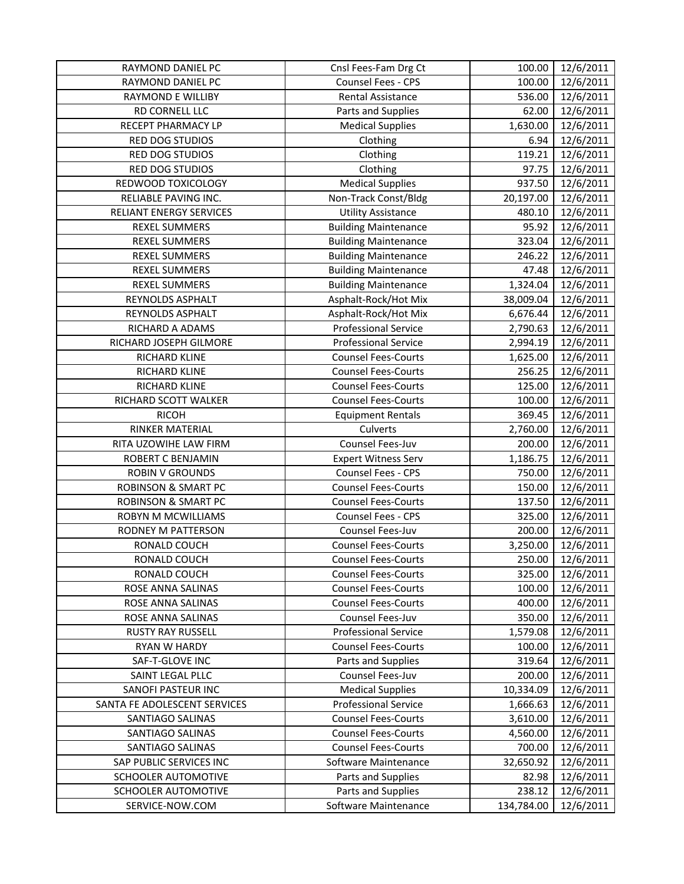| RAYMOND DANIEL PC              | Cnsl Fees-Fam Drg Ct        | 100.00     | 12/6/2011 |
|--------------------------------|-----------------------------|------------|-----------|
| RAYMOND DANIEL PC              | Counsel Fees - CPS          | 100.00     | 12/6/2011 |
| <b>RAYMOND E WILLIBY</b>       | <b>Rental Assistance</b>    | 536.00     | 12/6/2011 |
| RD CORNELL LLC                 | Parts and Supplies          | 62.00      | 12/6/2011 |
| RECEPT PHARMACY LP             | <b>Medical Supplies</b>     | 1,630.00   | 12/6/2011 |
| <b>RED DOG STUDIOS</b>         | Clothing                    | 6.94       | 12/6/2011 |
| RED DOG STUDIOS                | Clothing                    | 119.21     | 12/6/2011 |
| RED DOG STUDIOS                | Clothing                    | 97.75      | 12/6/2011 |
| REDWOOD TOXICOLOGY             | <b>Medical Supplies</b>     | 937.50     | 12/6/2011 |
| RELIABLE PAVING INC.           | Non-Track Const/Bldg        | 20,197.00  | 12/6/2011 |
| <b>RELIANT ENERGY SERVICES</b> | <b>Utility Assistance</b>   | 480.10     | 12/6/2011 |
| <b>REXEL SUMMERS</b>           | <b>Building Maintenance</b> | 95.92      | 12/6/2011 |
| <b>REXEL SUMMERS</b>           | <b>Building Maintenance</b> | 323.04     | 12/6/2011 |
| REXEL SUMMERS                  | <b>Building Maintenance</b> | 246.22     | 12/6/2011 |
| <b>REXEL SUMMERS</b>           | <b>Building Maintenance</b> | 47.48      | 12/6/2011 |
| <b>REXEL SUMMERS</b>           | <b>Building Maintenance</b> | 1,324.04   | 12/6/2011 |
| REYNOLDS ASPHALT               | Asphalt-Rock/Hot Mix        | 38,009.04  | 12/6/2011 |
| REYNOLDS ASPHALT               | Asphalt-Rock/Hot Mix        | 6,676.44   | 12/6/2011 |
| RICHARD A ADAMS                | <b>Professional Service</b> | 2,790.63   | 12/6/2011 |
| RICHARD JOSEPH GILMORE         | <b>Professional Service</b> | 2,994.19   | 12/6/2011 |
| RICHARD KLINE                  | <b>Counsel Fees-Courts</b>  | 1,625.00   | 12/6/2011 |
| <b>RICHARD KLINE</b>           | <b>Counsel Fees-Courts</b>  | 256.25     | 12/6/2011 |
| RICHARD KLINE                  | <b>Counsel Fees-Courts</b>  | 125.00     | 12/6/2011 |
| RICHARD SCOTT WALKER           | <b>Counsel Fees-Courts</b>  | 100.00     | 12/6/2011 |
| <b>RICOH</b>                   | <b>Equipment Rentals</b>    | 369.45     | 12/6/2011 |
| RINKER MATERIAL                | Culverts                    | 2,760.00   | 12/6/2011 |
| RITA UZOWIHE LAW FIRM          | Counsel Fees-Juv            | 200.00     | 12/6/2011 |
| ROBERT C BENJAMIN              | <b>Expert Witness Serv</b>  | 1,186.75   | 12/6/2011 |
| <b>ROBIN V GROUNDS</b>         | Counsel Fees - CPS          | 750.00     | 12/6/2011 |
| <b>ROBINSON &amp; SMART PC</b> | <b>Counsel Fees-Courts</b>  | 150.00     | 12/6/2011 |
| <b>ROBINSON &amp; SMART PC</b> | <b>Counsel Fees-Courts</b>  | 137.50     | 12/6/2011 |
| ROBYN M MCWILLIAMS             | Counsel Fees - CPS          | 325.00     | 12/6/2011 |
| RODNEY M PATTERSON             | Counsel Fees-Juv            | 200.00     | 12/6/2011 |
| RONALD COUCH                   | <b>Counsel Fees-Courts</b>  | 3,250.00   | 12/6/2011 |
| RONALD COUCH                   | <b>Counsel Fees-Courts</b>  | 250.00     | 12/6/2011 |
| RONALD COUCH                   | <b>Counsel Fees-Courts</b>  | 325.00     | 12/6/2011 |
| ROSE ANNA SALINAS              | <b>Counsel Fees-Courts</b>  | 100.00     | 12/6/2011 |
| ROSE ANNA SALINAS              | <b>Counsel Fees-Courts</b>  | 400.00     | 12/6/2011 |
| ROSE ANNA SALINAS              | Counsel Fees-Juv            | 350.00     | 12/6/2011 |
| <b>RUSTY RAY RUSSELL</b>       | <b>Professional Service</b> | 1,579.08   | 12/6/2011 |
| RYAN W HARDY                   | <b>Counsel Fees-Courts</b>  | 100.00     | 12/6/2011 |
| SAF-T-GLOVE INC                | Parts and Supplies          | 319.64     | 12/6/2011 |
| SAINT LEGAL PLLC               | Counsel Fees-Juv            | 200.00     | 12/6/2011 |
| SANOFI PASTEUR INC             | <b>Medical Supplies</b>     | 10,334.09  | 12/6/2011 |
| SANTA FE ADOLESCENT SERVICES   | <b>Professional Service</b> | 1,666.63   | 12/6/2011 |
| SANTIAGO SALINAS               | <b>Counsel Fees-Courts</b>  | 3,610.00   | 12/6/2011 |
| SANTIAGO SALINAS               | <b>Counsel Fees-Courts</b>  | 4,560.00   | 12/6/2011 |
| SANTIAGO SALINAS               | <b>Counsel Fees-Courts</b>  | 700.00     | 12/6/2011 |
| SAP PUBLIC SERVICES INC        | Software Maintenance        | 32,650.92  | 12/6/2011 |
| SCHOOLER AUTOMOTIVE            | Parts and Supplies          | 82.98      | 12/6/2011 |
| <b>SCHOOLER AUTOMOTIVE</b>     | Parts and Supplies          | 238.12     | 12/6/2011 |
| SERVICE-NOW.COM                | Software Maintenance        | 134,784.00 | 12/6/2011 |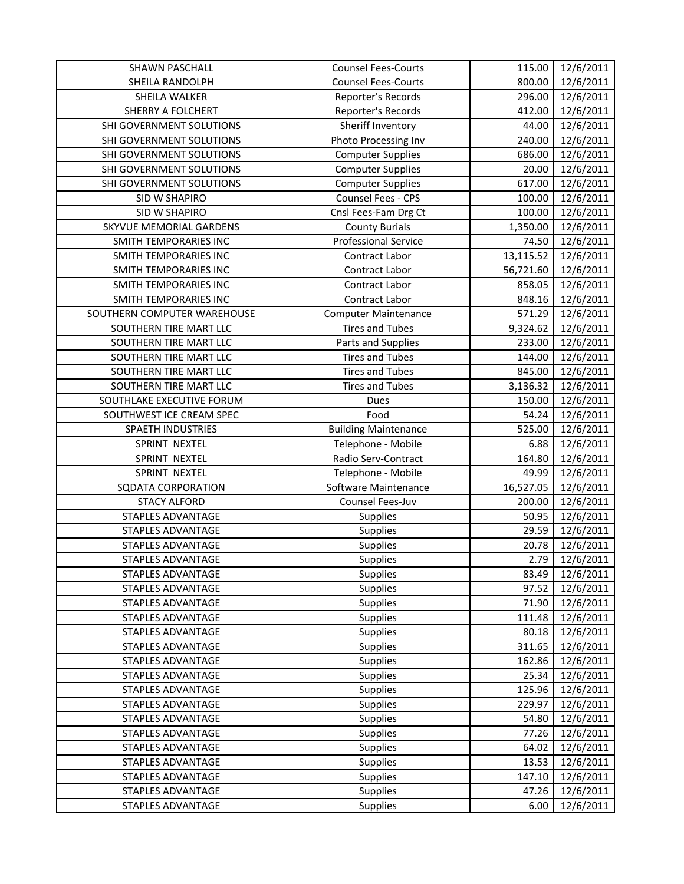| SHAWN PASCHALL              | <b>Counsel Fees-Courts</b>  | 115.00    | 12/6/2011 |
|-----------------------------|-----------------------------|-----------|-----------|
| SHEILA RANDOLPH             | <b>Counsel Fees-Courts</b>  | 800.00    | 12/6/2011 |
| SHEILA WALKER               | Reporter's Records          | 296.00    | 12/6/2011 |
| <b>SHERRY A FOLCHERT</b>    | Reporter's Records          | 412.00    | 12/6/2011 |
| SHI GOVERNMENT SOLUTIONS    | Sheriff Inventory           | 44.00     | 12/6/2011 |
| SHI GOVERNMENT SOLUTIONS    | Photo Processing Inv        | 240.00    | 12/6/2011 |
| SHI GOVERNMENT SOLUTIONS    | <b>Computer Supplies</b>    | 686.00    | 12/6/2011 |
| SHI GOVERNMENT SOLUTIONS    | <b>Computer Supplies</b>    | 20.00     | 12/6/2011 |
| SHI GOVERNMENT SOLUTIONS    | <b>Computer Supplies</b>    | 617.00    | 12/6/2011 |
| SID W SHAPIRO               | Counsel Fees - CPS          | 100.00    | 12/6/2011 |
| <b>SID W SHAPIRO</b>        | Cnsl Fees-Fam Drg Ct        | 100.00    | 12/6/2011 |
| SKYVUE MEMORIAL GARDENS     | <b>County Burials</b>       | 1,350.00  | 12/6/2011 |
| SMITH TEMPORARIES INC       | <b>Professional Service</b> | 74.50     | 12/6/2011 |
| SMITH TEMPORARIES INC       | Contract Labor              | 13,115.52 | 12/6/2011 |
| SMITH TEMPORARIES INC       | Contract Labor              | 56,721.60 | 12/6/2011 |
| SMITH TEMPORARIES INC       | Contract Labor              | 858.05    | 12/6/2011 |
| SMITH TEMPORARIES INC       | Contract Labor              | 848.16    | 12/6/2011 |
| SOUTHERN COMPUTER WAREHOUSE | <b>Computer Maintenance</b> | 571.29    | 12/6/2011 |
| SOUTHERN TIRE MART LLC      | <b>Tires and Tubes</b>      | 9,324.62  | 12/6/2011 |
| SOUTHERN TIRE MART LLC      | Parts and Supplies          | 233.00    | 12/6/2011 |
| SOUTHERN TIRE MART LLC      | <b>Tires and Tubes</b>      | 144.00    | 12/6/2011 |
| SOUTHERN TIRE MART LLC      | <b>Tires and Tubes</b>      | 845.00    | 12/6/2011 |
| SOUTHERN TIRE MART LLC      | <b>Tires and Tubes</b>      | 3,136.32  | 12/6/2011 |
| SOUTHLAKE EXECUTIVE FORUM   | Dues                        | 150.00    | 12/6/2011 |
| SOUTHWEST ICE CREAM SPEC    | Food                        | 54.24     | 12/6/2011 |
| SPAETH INDUSTRIES           | <b>Building Maintenance</b> | 525.00    | 12/6/2011 |
| SPRINT NEXTEL               | Telephone - Mobile          | 6.88      | 12/6/2011 |
| SPRINT NEXTEL               | Radio Serv-Contract         | 164.80    | 12/6/2011 |
| SPRINT NEXTEL               | Telephone - Mobile          | 49.99     | 12/6/2011 |
| SQDATA CORPORATION          | Software Maintenance        | 16,527.05 | 12/6/2011 |
| <b>STACY ALFORD</b>         | Counsel Fees-Juv            | 200.00    | 12/6/2011 |
| <b>STAPLES ADVANTAGE</b>    | <b>Supplies</b>             | 50.95     | 12/6/2011 |
| STAPLES ADVANTAGE           | Supplies                    | 29.59     | 12/6/2011 |
| STAPLES ADVANTAGE           | Supplies                    | 20.78     | 12/6/2011 |
| STAPLES ADVANTAGE           | Supplies                    | 2.79      | 12/6/2011 |
| STAPLES ADVANTAGE           | <b>Supplies</b>             | 83.49     | 12/6/2011 |
| STAPLES ADVANTAGE           | Supplies                    | 97.52     | 12/6/2011 |
| <b>STAPLES ADVANTAGE</b>    | <b>Supplies</b>             | 71.90     | 12/6/2011 |
| STAPLES ADVANTAGE           | Supplies                    | 111.48    | 12/6/2011 |
| <b>STAPLES ADVANTAGE</b>    | Supplies                    | 80.18     | 12/6/2011 |
| STAPLES ADVANTAGE           | Supplies                    | 311.65    | 12/6/2011 |
| STAPLES ADVANTAGE           | Supplies                    | 162.86    | 12/6/2011 |
| STAPLES ADVANTAGE           | <b>Supplies</b>             | 25.34     | 12/6/2011 |
| STAPLES ADVANTAGE           | <b>Supplies</b>             | 125.96    | 12/6/2011 |
| STAPLES ADVANTAGE           | Supplies                    | 229.97    | 12/6/2011 |
| STAPLES ADVANTAGE           | Supplies                    | 54.80     | 12/6/2011 |
| STAPLES ADVANTAGE           | Supplies                    | 77.26     | 12/6/2011 |
| STAPLES ADVANTAGE           | Supplies                    | 64.02     | 12/6/2011 |
| STAPLES ADVANTAGE           | <b>Supplies</b>             | 13.53     | 12/6/2011 |
| STAPLES ADVANTAGE           | <b>Supplies</b>             | 147.10    | 12/6/2011 |
| STAPLES ADVANTAGE           | <b>Supplies</b>             | 47.26     | 12/6/2011 |
| STAPLES ADVANTAGE           | Supplies                    | 6.00      | 12/6/2011 |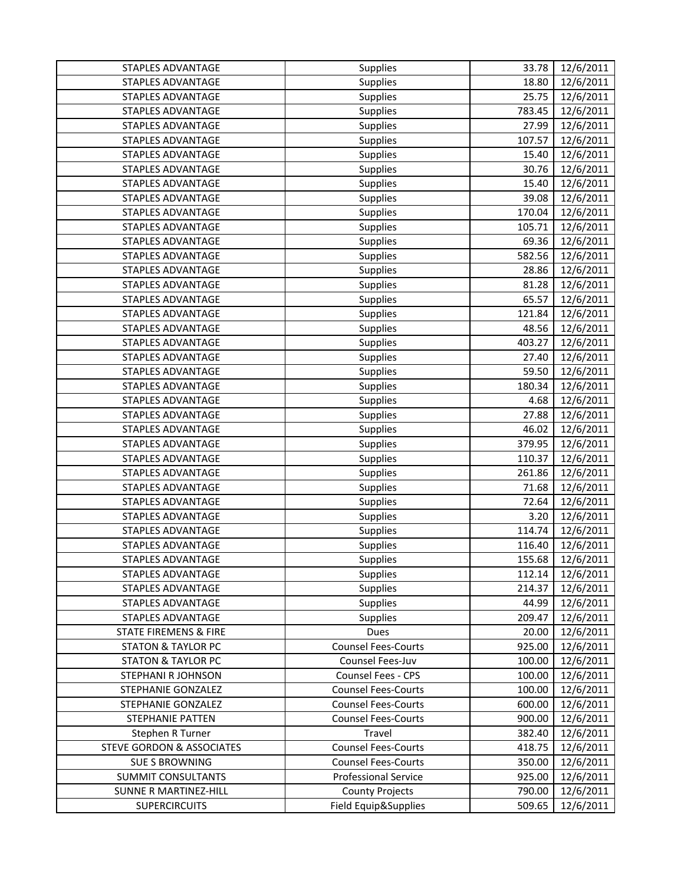| STAPLES ADVANTAGE                    | <b>Supplies</b>             | 33.78  | 12/6/2011 |
|--------------------------------------|-----------------------------|--------|-----------|
| STAPLES ADVANTAGE                    | <b>Supplies</b>             | 18.80  | 12/6/2011 |
| STAPLES ADVANTAGE                    | <b>Supplies</b>             | 25.75  | 12/6/2011 |
| <b>STAPLES ADVANTAGE</b>             | Supplies                    | 783.45 | 12/6/2011 |
| STAPLES ADVANTAGE                    | <b>Supplies</b>             | 27.99  | 12/6/2011 |
| <b>STAPLES ADVANTAGE</b>             | <b>Supplies</b>             | 107.57 | 12/6/2011 |
| <b>STAPLES ADVANTAGE</b>             | Supplies                    | 15.40  | 12/6/2011 |
| STAPLES ADVANTAGE                    | Supplies                    | 30.76  | 12/6/2011 |
| STAPLES ADVANTAGE                    | Supplies                    | 15.40  | 12/6/2011 |
| <b>STAPLES ADVANTAGE</b>             | Supplies                    | 39.08  | 12/6/2011 |
| <b>STAPLES ADVANTAGE</b>             | Supplies                    | 170.04 | 12/6/2011 |
| STAPLES ADVANTAGE                    | <b>Supplies</b>             | 105.71 | 12/6/2011 |
| <b>STAPLES ADVANTAGE</b>             | Supplies                    | 69.36  | 12/6/2011 |
| STAPLES ADVANTAGE                    | Supplies                    | 582.56 | 12/6/2011 |
| STAPLES ADVANTAGE                    | Supplies                    | 28.86  | 12/6/2011 |
| STAPLES ADVANTAGE                    | Supplies                    | 81.28  | 12/6/2011 |
| <b>STAPLES ADVANTAGE</b>             | <b>Supplies</b>             | 65.57  | 12/6/2011 |
| <b>STAPLES ADVANTAGE</b>             | <b>Supplies</b>             | 121.84 | 12/6/2011 |
| <b>STAPLES ADVANTAGE</b>             | <b>Supplies</b>             | 48.56  | 12/6/2011 |
| <b>STAPLES ADVANTAGE</b>             | Supplies                    | 403.27 | 12/6/2011 |
| STAPLES ADVANTAGE                    | <b>Supplies</b>             | 27.40  | 12/6/2011 |
| <b>STAPLES ADVANTAGE</b>             | Supplies                    | 59.50  | 12/6/2011 |
| STAPLES ADVANTAGE                    | Supplies                    | 180.34 | 12/6/2011 |
| <b>STAPLES ADVANTAGE</b>             | <b>Supplies</b>             | 4.68   | 12/6/2011 |
| <b>STAPLES ADVANTAGE</b>             | <b>Supplies</b>             | 27.88  | 12/6/2011 |
| STAPLES ADVANTAGE                    | Supplies                    | 46.02  | 12/6/2011 |
| STAPLES ADVANTAGE                    | <b>Supplies</b>             | 379.95 | 12/6/2011 |
| STAPLES ADVANTAGE                    | Supplies                    | 110.37 | 12/6/2011 |
| <b>STAPLES ADVANTAGE</b>             | <b>Supplies</b>             | 261.86 | 12/6/2011 |
| <b>STAPLES ADVANTAGE</b>             | <b>Supplies</b>             | 71.68  | 12/6/2011 |
| <b>STAPLES ADVANTAGE</b>             | <b>Supplies</b>             | 72.64  | 12/6/2011 |
| <b>STAPLES ADVANTAGE</b>             | <b>Supplies</b>             | 3.20   | 12/6/2011 |
| STAPLES ADVANTAGE                    | <b>Supplies</b>             | 114.74 | 12/6/2011 |
| <b>STAPLES ADVANTAGE</b>             | Supplies                    | 116.40 | 12/6/2011 |
| STAPLES ADVANTAGE                    | Supplies                    | 155.68 | 12/6/2011 |
| <b>STAPLES ADVANTAGE</b>             | <b>Supplies</b>             | 112.14 | 12/6/2011 |
| STAPLES ADVANTAGE                    | <b>Supplies</b>             | 214.37 | 12/6/2011 |
| STAPLES ADVANTAGE                    | <b>Supplies</b>             | 44.99  | 12/6/2011 |
| STAPLES ADVANTAGE                    | <b>Supplies</b>             | 209.47 | 12/6/2011 |
| STATE FIREMENS & FIRE                | Dues                        | 20.00  | 12/6/2011 |
| <b>STATON &amp; TAYLOR PC</b>        | <b>Counsel Fees-Courts</b>  | 925.00 | 12/6/2011 |
| <b>STATON &amp; TAYLOR PC</b>        | Counsel Fees-Juv            | 100.00 | 12/6/2011 |
| <b>STEPHANI R JOHNSON</b>            | <b>Counsel Fees - CPS</b>   | 100.00 | 12/6/2011 |
| STEPHANIE GONZALEZ                   | <b>Counsel Fees-Courts</b>  | 100.00 | 12/6/2011 |
| STEPHANIE GONZALEZ                   | <b>Counsel Fees-Courts</b>  | 600.00 | 12/6/2011 |
| <b>STEPHANIE PATTEN</b>              | <b>Counsel Fees-Courts</b>  | 900.00 | 12/6/2011 |
| Stephen R Turner                     | Travel                      | 382.40 | 12/6/2011 |
| <b>STEVE GORDON &amp; ASSOCIATES</b> | <b>Counsel Fees-Courts</b>  | 418.75 | 12/6/2011 |
| <b>SUE S BROWNING</b>                | <b>Counsel Fees-Courts</b>  | 350.00 | 12/6/2011 |
| SUMMIT CONSULTANTS                   | <b>Professional Service</b> | 925.00 | 12/6/2011 |
| <b>SUNNE R MARTINEZ-HILL</b>         | <b>County Projects</b>      | 790.00 | 12/6/2011 |
| <b>SUPERCIRCUITS</b>                 | Field Equip&Supplies        | 509.65 | 12/6/2011 |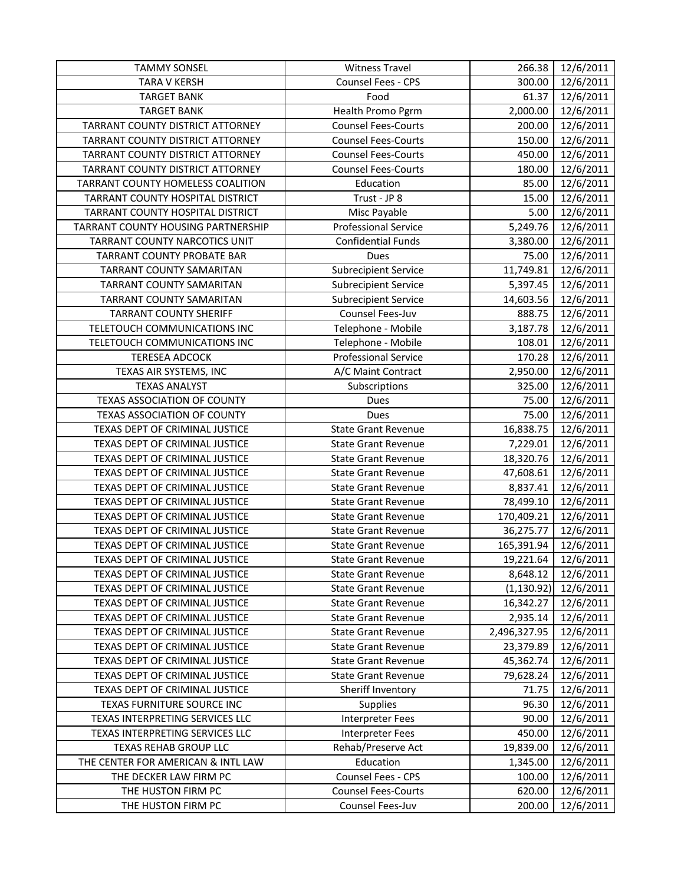| <b>TAMMY SONSEL</b>                | <b>Witness Travel</b>       | 266.38       | 12/6/2011 |
|------------------------------------|-----------------------------|--------------|-----------|
| <b>TARA V KERSH</b>                | Counsel Fees - CPS          | 300.00       | 12/6/2011 |
| <b>TARGET BANK</b>                 | Food                        | 61.37        | 12/6/2011 |
| <b>TARGET BANK</b>                 | Health Promo Pgrm           | 2,000.00     | 12/6/2011 |
| TARRANT COUNTY DISTRICT ATTORNEY   | <b>Counsel Fees-Courts</b>  | 200.00       | 12/6/2011 |
| TARRANT COUNTY DISTRICT ATTORNEY   | <b>Counsel Fees-Courts</b>  | 150.00       | 12/6/2011 |
| TARRANT COUNTY DISTRICT ATTORNEY   | <b>Counsel Fees-Courts</b>  | 450.00       | 12/6/2011 |
| TARRANT COUNTY DISTRICT ATTORNEY   | <b>Counsel Fees-Courts</b>  | 180.00       | 12/6/2011 |
| TARRANT COUNTY HOMELESS COALITION  | Education                   | 85.00        | 12/6/2011 |
| TARRANT COUNTY HOSPITAL DISTRICT   | Trust - JP 8                | 15.00        | 12/6/2011 |
| TARRANT COUNTY HOSPITAL DISTRICT   | Misc Payable                | 5.00         | 12/6/2011 |
| TARRANT COUNTY HOUSING PARTNERSHIP | <b>Professional Service</b> | 5,249.76     | 12/6/2011 |
| TARRANT COUNTY NARCOTICS UNIT      | <b>Confidential Funds</b>   | 3,380.00     | 12/6/2011 |
| TARRANT COUNTY PROBATE BAR         | Dues                        | 75.00        | 12/6/2011 |
| TARRANT COUNTY SAMARITAN           | <b>Subrecipient Service</b> | 11,749.81    | 12/6/2011 |
| TARRANT COUNTY SAMARITAN           | <b>Subrecipient Service</b> | 5,397.45     | 12/6/2011 |
| TARRANT COUNTY SAMARITAN           | <b>Subrecipient Service</b> | 14,603.56    | 12/6/2011 |
| <b>TARRANT COUNTY SHERIFF</b>      | Counsel Fees-Juv            | 888.75       | 12/6/2011 |
| TELETOUCH COMMUNICATIONS INC       | Telephone - Mobile          | 3,187.78     | 12/6/2011 |
| TELETOUCH COMMUNICATIONS INC       | Telephone - Mobile          | 108.01       | 12/6/2011 |
| <b>TERESEA ADCOCK</b>              | <b>Professional Service</b> | 170.28       | 12/6/2011 |
| TEXAS AIR SYSTEMS, INC             | A/C Maint Contract          | 2,950.00     | 12/6/2011 |
| <b>TEXAS ANALYST</b>               | Subscriptions               | 325.00       | 12/6/2011 |
| <b>TEXAS ASSOCIATION OF COUNTY</b> | Dues                        | 75.00        | 12/6/2011 |
| TEXAS ASSOCIATION OF COUNTY        | Dues                        | 75.00        | 12/6/2011 |
| TEXAS DEPT OF CRIMINAL JUSTICE     | <b>State Grant Revenue</b>  | 16,838.75    | 12/6/2011 |
| TEXAS DEPT OF CRIMINAL JUSTICE     | <b>State Grant Revenue</b>  | 7,229.01     | 12/6/2011 |
| TEXAS DEPT OF CRIMINAL JUSTICE     | <b>State Grant Revenue</b>  | 18,320.76    | 12/6/2011 |
| TEXAS DEPT OF CRIMINAL JUSTICE     | <b>State Grant Revenue</b>  | 47,608.61    | 12/6/2011 |
| TEXAS DEPT OF CRIMINAL JUSTICE     | <b>State Grant Revenue</b>  | 8,837.41     | 12/6/2011 |
| TEXAS DEPT OF CRIMINAL JUSTICE     | <b>State Grant Revenue</b>  | 78,499.10    | 12/6/2011 |
| TEXAS DEPT OF CRIMINAL JUSTICE     | <b>State Grant Revenue</b>  | 170,409.21   | 12/6/2011 |
| TEXAS DEPT OF CRIMINAL JUSTICE     | <b>State Grant Revenue</b>  | 36,275.77    | 12/6/2011 |
| TEXAS DEPT OF CRIMINAL JUSTICE     | <b>State Grant Revenue</b>  | 165,391.94   | 12/6/2011 |
| TEXAS DEPT OF CRIMINAL JUSTICE     | <b>State Grant Revenue</b>  | 19,221.64    | 12/6/2011 |
| TEXAS DEPT OF CRIMINAL JUSTICE     | <b>State Grant Revenue</b>  | 8,648.12     | 12/6/2011 |
| TEXAS DEPT OF CRIMINAL JUSTICE     | <b>State Grant Revenue</b>  | (1, 130.92)  | 12/6/2011 |
| TEXAS DEPT OF CRIMINAL JUSTICE     | <b>State Grant Revenue</b>  | 16,342.27    | 12/6/2011 |
| TEXAS DEPT OF CRIMINAL JUSTICE     | <b>State Grant Revenue</b>  | 2,935.14     | 12/6/2011 |
| TEXAS DEPT OF CRIMINAL JUSTICE     | <b>State Grant Revenue</b>  | 2,496,327.95 | 12/6/2011 |
| TEXAS DEPT OF CRIMINAL JUSTICE     | <b>State Grant Revenue</b>  | 23,379.89    | 12/6/2011 |
| TEXAS DEPT OF CRIMINAL JUSTICE     | <b>State Grant Revenue</b>  | 45,362.74    | 12/6/2011 |
| TEXAS DEPT OF CRIMINAL JUSTICE     | <b>State Grant Revenue</b>  | 79,628.24    | 12/6/2011 |
| TEXAS DEPT OF CRIMINAL JUSTICE     | Sheriff Inventory           | 71.75        | 12/6/2011 |
| TEXAS FURNITURE SOURCE INC         | <b>Supplies</b>             | 96.30        | 12/6/2011 |
| TEXAS INTERPRETING SERVICES LLC    | <b>Interpreter Fees</b>     | 90.00        | 12/6/2011 |
| TEXAS INTERPRETING SERVICES LLC    | <b>Interpreter Fees</b>     | 450.00       | 12/6/2011 |
| TEXAS REHAB GROUP LLC              | Rehab/Preserve Act          | 19,839.00    | 12/6/2011 |
| THE CENTER FOR AMERICAN & INTL LAW | Education                   | 1,345.00     | 12/6/2011 |
| THE DECKER LAW FIRM PC             | Counsel Fees - CPS          | 100.00       | 12/6/2011 |
| THE HUSTON FIRM PC                 | <b>Counsel Fees-Courts</b>  | 620.00       | 12/6/2011 |
| THE HUSTON FIRM PC                 | Counsel Fees-Juv            | 200.00       | 12/6/2011 |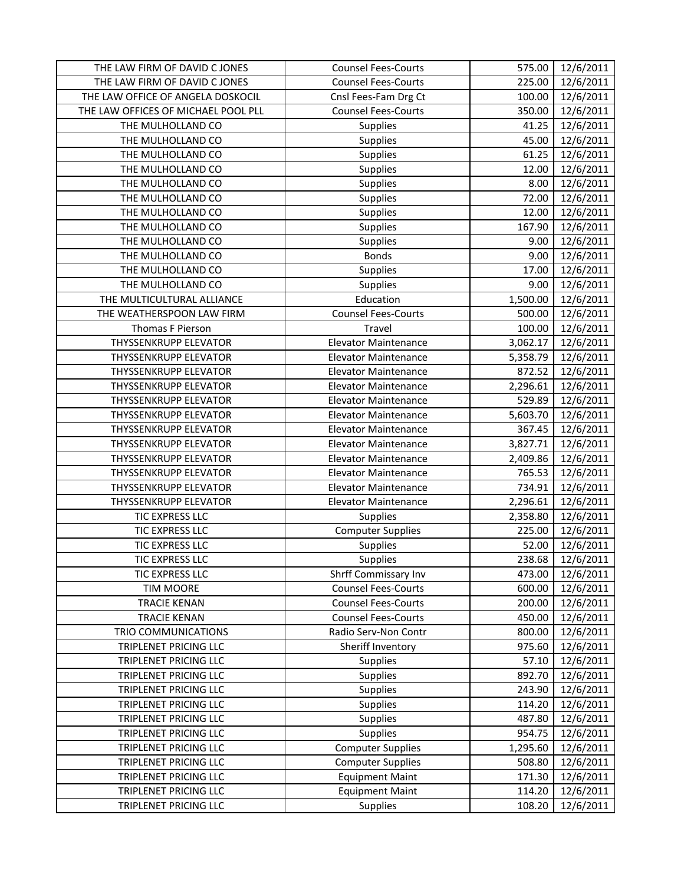| THE LAW FIRM OF DAVID C JONES       | <b>Counsel Fees-Courts</b>  | 575.00   | 12/6/2011 |
|-------------------------------------|-----------------------------|----------|-----------|
| THE LAW FIRM OF DAVID C JONES       | <b>Counsel Fees-Courts</b>  | 225.00   | 12/6/2011 |
| THE LAW OFFICE OF ANGELA DOSKOCIL   | Cnsl Fees-Fam Drg Ct        | 100.00   | 12/6/2011 |
| THE LAW OFFICES OF MICHAEL POOL PLL | <b>Counsel Fees-Courts</b>  | 350.00   | 12/6/2011 |
| THE MULHOLLAND CO                   | <b>Supplies</b>             | 41.25    | 12/6/2011 |
| THE MULHOLLAND CO                   | Supplies                    | 45.00    | 12/6/2011 |
| THE MULHOLLAND CO                   | <b>Supplies</b>             | 61.25    | 12/6/2011 |
| THE MULHOLLAND CO                   | Supplies                    | 12.00    | 12/6/2011 |
| THE MULHOLLAND CO                   | Supplies                    | 8.00     | 12/6/2011 |
| THE MULHOLLAND CO                   | <b>Supplies</b>             | 72.00    | 12/6/2011 |
| THE MULHOLLAND CO                   | Supplies                    | 12.00    | 12/6/2011 |
| THE MULHOLLAND CO                   | <b>Supplies</b>             | 167.90   | 12/6/2011 |
| THE MULHOLLAND CO                   | <b>Supplies</b>             | 9.00     | 12/6/2011 |
| THE MULHOLLAND CO                   | <b>Bonds</b>                | 9.00     | 12/6/2011 |
| THE MULHOLLAND CO                   | Supplies                    | 17.00    | 12/6/2011 |
| THE MULHOLLAND CO                   | <b>Supplies</b>             | 9.00     | 12/6/2011 |
| THE MULTICULTURAL ALLIANCE          | Education                   | 1,500.00 | 12/6/2011 |
| THE WEATHERSPOON LAW FIRM           | <b>Counsel Fees-Courts</b>  | 500.00   | 12/6/2011 |
| Thomas F Pierson                    | Travel                      | 100.00   | 12/6/2011 |
| <b>THYSSENKRUPP ELEVATOR</b>        | Elevator Maintenance        | 3,062.17 | 12/6/2011 |
| THYSSENKRUPP ELEVATOR               | <b>Elevator Maintenance</b> | 5,358.79 | 12/6/2011 |
| <b>THYSSENKRUPP ELEVATOR</b>        | <b>Elevator Maintenance</b> | 872.52   | 12/6/2011 |
| <b>THYSSENKRUPP ELEVATOR</b>        | <b>Elevator Maintenance</b> | 2,296.61 | 12/6/2011 |
| THYSSENKRUPP ELEVATOR               | <b>Elevator Maintenance</b> | 529.89   | 12/6/2011 |
| <b>THYSSENKRUPP ELEVATOR</b>        | <b>Elevator Maintenance</b> | 5,603.70 | 12/6/2011 |
| THYSSENKRUPP ELEVATOR               | <b>Elevator Maintenance</b> | 367.45   | 12/6/2011 |
| <b>THYSSENKRUPP ELEVATOR</b>        | <b>Elevator Maintenance</b> | 3,827.71 | 12/6/2011 |
| <b>THYSSENKRUPP ELEVATOR</b>        | <b>Elevator Maintenance</b> | 2,409.86 | 12/6/2011 |
| <b>THYSSENKRUPP ELEVATOR</b>        | <b>Elevator Maintenance</b> | 765.53   | 12/6/2011 |
| <b>THYSSENKRUPP ELEVATOR</b>        | <b>Elevator Maintenance</b> | 734.91   | 12/6/2011 |
| THYSSENKRUPP ELEVATOR               | <b>Elevator Maintenance</b> | 2,296.61 | 12/6/2011 |
| TIC EXPRESS LLC                     | <b>Supplies</b>             | 2,358.80 | 12/6/2011 |
| TIC EXPRESS LLC                     | <b>Computer Supplies</b>    | 225.00   | 12/6/2011 |
| TIC EXPRESS LLC                     | Supplies                    | 52.00    | 12/6/2011 |
| TIC EXPRESS LLC                     | Supplies                    | 238.68   | 12/6/2011 |
| TIC EXPRESS LLC                     | Shrff Commissary Inv        | 473.00   | 12/6/2011 |
| <b>TIM MOORE</b>                    | <b>Counsel Fees-Courts</b>  | 600.00   | 12/6/2011 |
| <b>TRACIE KENAN</b>                 | <b>Counsel Fees-Courts</b>  | 200.00   | 12/6/2011 |
| <b>TRACIE KENAN</b>                 | <b>Counsel Fees-Courts</b>  | 450.00   | 12/6/2011 |
| TRIO COMMUNICATIONS                 | Radio Serv-Non Contr        | 800.00   | 12/6/2011 |
| TRIPLENET PRICING LLC               | Sheriff Inventory           | 975.60   | 12/6/2011 |
| <b>TRIPLENET PRICING LLC</b>        | <b>Supplies</b>             | 57.10    | 12/6/2011 |
| TRIPLENET PRICING LLC               | Supplies                    | 892.70   | 12/6/2011 |
| <b>TRIPLENET PRICING LLC</b>        | <b>Supplies</b>             | 243.90   | 12/6/2011 |
| TRIPLENET PRICING LLC               | Supplies                    | 114.20   | 12/6/2011 |
| TRIPLENET PRICING LLC               | Supplies                    | 487.80   | 12/6/2011 |
| TRIPLENET PRICING LLC               | Supplies                    | 954.75   | 12/6/2011 |
| TRIPLENET PRICING LLC               | <b>Computer Supplies</b>    | 1,295.60 | 12/6/2011 |
| TRIPLENET PRICING LLC               | <b>Computer Supplies</b>    | 508.80   | 12/6/2011 |
| TRIPLENET PRICING LLC               | <b>Equipment Maint</b>      | 171.30   | 12/6/2011 |
| TRIPLENET PRICING LLC               | <b>Equipment Maint</b>      | 114.20   | 12/6/2011 |
| TRIPLENET PRICING LLC               | <b>Supplies</b>             | 108.20   | 12/6/2011 |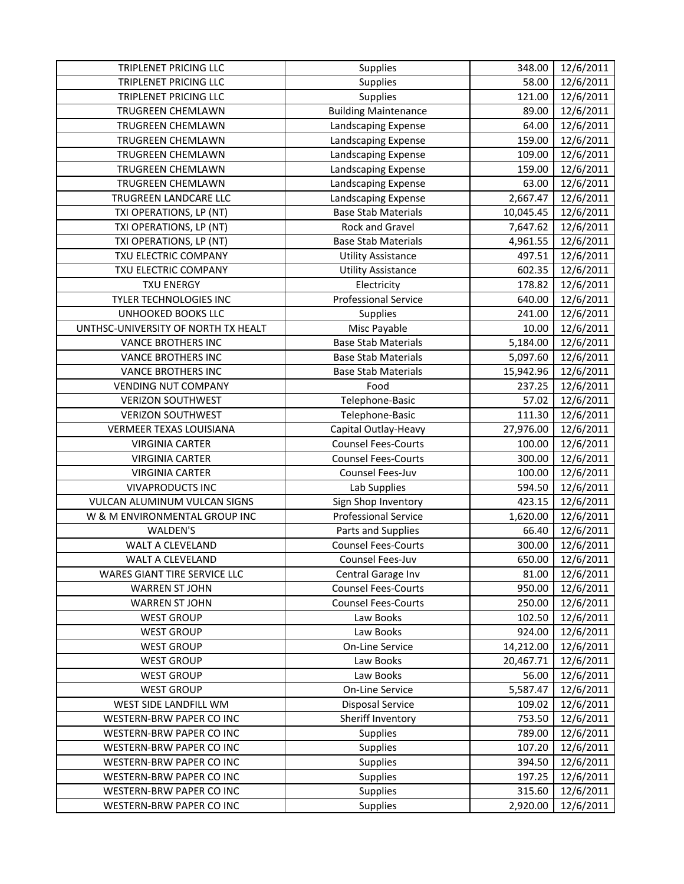| TRIPLENET PRICING LLC               | Supplies                    | 348.00    | 12/6/2011 |
|-------------------------------------|-----------------------------|-----------|-----------|
| TRIPLENET PRICING LLC               | Supplies                    | 58.00     | 12/6/2011 |
| TRIPLENET PRICING LLC               | Supplies                    | 121.00    | 12/6/2011 |
| TRUGREEN CHEMLAWN                   | <b>Building Maintenance</b> | 89.00     | 12/6/2011 |
| TRUGREEN CHEMLAWN                   | Landscaping Expense         | 64.00     | 12/6/2011 |
| TRUGREEN CHEMLAWN                   | Landscaping Expense         | 159.00    | 12/6/2011 |
| TRUGREEN CHEMLAWN                   | Landscaping Expense         | 109.00    | 12/6/2011 |
| TRUGREEN CHEMLAWN                   | Landscaping Expense         | 159.00    | 12/6/2011 |
| TRUGREEN CHEMLAWN                   | Landscaping Expense         | 63.00     | 12/6/2011 |
| TRUGREEN LANDCARE LLC               | Landscaping Expense         | 2,667.47  | 12/6/2011 |
| TXI OPERATIONS, LP (NT)             | <b>Base Stab Materials</b>  | 10,045.45 | 12/6/2011 |
| TXI OPERATIONS, LP (NT)             | <b>Rock and Gravel</b>      | 7,647.62  | 12/6/2011 |
| TXI OPERATIONS, LP (NT)             | <b>Base Stab Materials</b>  | 4,961.55  | 12/6/2011 |
| TXU ELECTRIC COMPANY                | <b>Utility Assistance</b>   | 497.51    | 12/6/2011 |
| TXU ELECTRIC COMPANY                | <b>Utility Assistance</b>   | 602.35    | 12/6/2011 |
| <b>TXU ENERGY</b>                   | Electricity                 | 178.82    | 12/6/2011 |
| TYLER TECHNOLOGIES INC              | <b>Professional Service</b> | 640.00    | 12/6/2011 |
| UNHOOKED BOOKS LLC                  | Supplies                    | 241.00    | 12/6/2011 |
| UNTHSC-UNIVERSITY OF NORTH TX HEALT | Misc Payable                | 10.00     | 12/6/2011 |
| <b>VANCE BROTHERS INC</b>           | <b>Base Stab Materials</b>  | 5,184.00  | 12/6/2011 |
| <b>VANCE BROTHERS INC</b>           | <b>Base Stab Materials</b>  | 5,097.60  | 12/6/2011 |
| <b>VANCE BROTHERS INC</b>           | <b>Base Stab Materials</b>  | 15,942.96 | 12/6/2011 |
| <b>VENDING NUT COMPANY</b>          | Food                        | 237.25    | 12/6/2011 |
| <b>VERIZON SOUTHWEST</b>            | Telephone-Basic             | 57.02     | 12/6/2011 |
| <b>VERIZON SOUTHWEST</b>            | Telephone-Basic             | 111.30    | 12/6/2011 |
| VERMEER TEXAS LOUISIANA             | Capital Outlay-Heavy        | 27,976.00 | 12/6/2011 |
| <b>VIRGINIA CARTER</b>              | <b>Counsel Fees-Courts</b>  | 100.00    | 12/6/2011 |
| <b>VIRGINIA CARTER</b>              | <b>Counsel Fees-Courts</b>  | 300.00    | 12/6/2011 |
| <b>VIRGINIA CARTER</b>              | Counsel Fees-Juv            | 100.00    | 12/6/2011 |
| <b>VIVAPRODUCTS INC</b>             | Lab Supplies                | 594.50    | 12/6/2011 |
| VULCAN ALUMINUM VULCAN SIGNS        | Sign Shop Inventory         | 423.15    | 12/6/2011 |
| W & M ENVIRONMENTAL GROUP INC       | <b>Professional Service</b> | 1,620.00  | 12/6/2011 |
| WALDEN'S                            | Parts and Supplies          | 66.40     | 12/6/2011 |
| <b>WALT A CLEVELAND</b>             | <b>Counsel Fees-Courts</b>  | 300.00    | 12/6/2011 |
| WALT A CLEVELAND                    | Counsel Fees-Juv            | 650.00    | 12/6/2011 |
| WARES GIANT TIRE SERVICE LLC        | Central Garage Inv          | 81.00     | 12/6/2011 |
| <b>WARREN ST JOHN</b>               | <b>Counsel Fees-Courts</b>  | 950.00    | 12/6/2011 |
| <b>WARREN ST JOHN</b>               | <b>Counsel Fees-Courts</b>  | 250.00    | 12/6/2011 |
| <b>WEST GROUP</b>                   | Law Books                   | 102.50    | 12/6/2011 |
| <b>WEST GROUP</b>                   | Law Books                   | 924.00    | 12/6/2011 |
| <b>WEST GROUP</b>                   | On-Line Service             | 14,212.00 | 12/6/2011 |
| <b>WEST GROUP</b>                   | Law Books                   | 20,467.71 | 12/6/2011 |
| <b>WEST GROUP</b>                   | Law Books                   | 56.00     | 12/6/2011 |
| <b>WEST GROUP</b>                   | On-Line Service             | 5,587.47  | 12/6/2011 |
| WEST SIDE LANDFILL WM               | <b>Disposal Service</b>     | 109.02    | 12/6/2011 |
| WESTERN-BRW PAPER CO INC            | Sheriff Inventory           | 753.50    | 12/6/2011 |
| WESTERN-BRW PAPER CO INC            | Supplies                    | 789.00    | 12/6/2011 |
| WESTERN-BRW PAPER CO INC            | <b>Supplies</b>             | 107.20    | 12/6/2011 |
| WESTERN-BRW PAPER CO INC            | <b>Supplies</b>             | 394.50    | 12/6/2011 |
| WESTERN-BRW PAPER CO INC            | Supplies                    | 197.25    | 12/6/2011 |
| WESTERN-BRW PAPER CO INC            | <b>Supplies</b>             | 315.60    | 12/6/2011 |
| WESTERN-BRW PAPER CO INC            | Supplies                    | 2,920.00  | 12/6/2011 |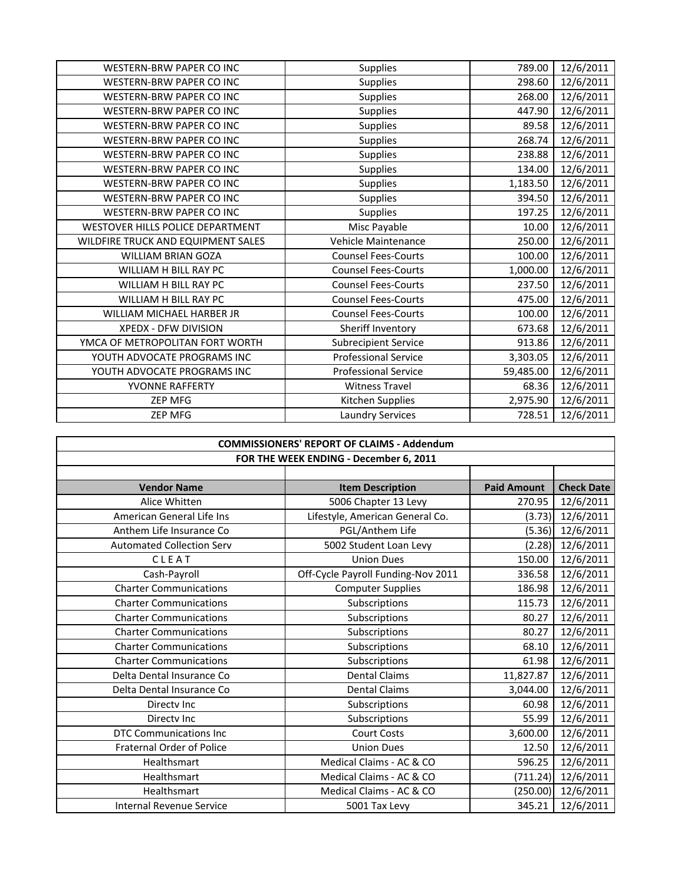| Supplies<br>789.00<br>12/6/2011<br><b>WESTERN-BRW PAPER CO INC</b><br>12/6/2011<br>WESTERN-BRW PAPER CO INC<br><b>Supplies</b><br>298.60<br>268.00<br>12/6/2011<br>WESTERN-BRW PAPER CO INC<br><b>Supplies</b><br>12/6/2011<br><b>WESTERN-BRW PAPER CO INC</b><br><b>Supplies</b><br>447.90<br>12/6/2011<br>WESTERN-BRW PAPER CO INC<br><b>Supplies</b><br>89.58<br>12/6/2011<br>WESTERN-BRW PAPER CO INC<br><b>Supplies</b><br>268.74<br>12/6/2011<br><b>WESTERN-BRW PAPER CO INC</b><br><b>Supplies</b><br>238.88<br>12/6/2011<br><b>WESTERN-BRW PAPER CO INC</b><br><b>Supplies</b><br>134.00<br>12/6/2011<br>WESTERN-BRW PAPER CO INC<br>1,183.50<br><b>Supplies</b><br>12/6/2011<br>WESTERN-BRW PAPER CO INC<br>394.50<br><b>Supplies</b><br>12/6/2011<br>WESTERN-BRW PAPER CO INC<br><b>Supplies</b><br>197.25<br>WESTOVER HILLS POLICE DEPARTMENT<br>Misc Payable<br>12/6/2011<br>10.00<br>12/6/2011<br>Vehicle Maintenance<br>250.00<br>WILDFIRE TRUCK AND EQUIPMENT SALES<br>12/6/2011<br><b>WILLIAM BRIAN GOZA</b><br><b>Counsel Fees-Courts</b><br>100.00<br>12/6/2011<br>WILLIAM H BILL RAY PC<br><b>Counsel Fees-Courts</b><br>1,000.00<br><b>Counsel Fees-Courts</b><br>12/6/2011<br>WILLIAM H BILL RAY PC<br>237.50<br>12/6/2011<br>WILLIAM H BILL RAY PC<br><b>Counsel Fees-Courts</b><br>475.00<br>WILLIAM MICHAEL HARBER JR<br><b>Counsel Fees-Courts</b><br>12/6/2011<br>100.00<br>XPEDX - DFW DIVISION<br>Sheriff Inventory<br>12/6/2011<br>673.68<br>YMCA OF METROPOLITAN FORT WORTH<br><b>Subrecipient Service</b><br>12/6/2011<br>913.86<br>YOUTH ADVOCATE PROGRAMS INC<br><b>Professional Service</b><br>12/6/2011<br>3,303.05<br>YOUTH ADVOCATE PROGRAMS INC<br><b>Professional Service</b><br>12/6/2011<br>59,485.00<br>YVONNE RAFFERTY<br><b>Witness Travel</b><br>12/6/2011<br>68.36<br>Kitchen Supplies<br>12/6/2011<br><b>ZEP MFG</b><br>2,975.90<br>Laundry Services<br>12/6/2011<br><b>ZEP MFG</b><br>728.51 |  |  |
|----------------------------------------------------------------------------------------------------------------------------------------------------------------------------------------------------------------------------------------------------------------------------------------------------------------------------------------------------------------------------------------------------------------------------------------------------------------------------------------------------------------------------------------------------------------------------------------------------------------------------------------------------------------------------------------------------------------------------------------------------------------------------------------------------------------------------------------------------------------------------------------------------------------------------------------------------------------------------------------------------------------------------------------------------------------------------------------------------------------------------------------------------------------------------------------------------------------------------------------------------------------------------------------------------------------------------------------------------------------------------------------------------------------------------------------------------------------------------------------------------------------------------------------------------------------------------------------------------------------------------------------------------------------------------------------------------------------------------------------------------------------------------------------------------------------------------------------------------------------------------------------------------------------------------------------------|--|--|
|                                                                                                                                                                                                                                                                                                                                                                                                                                                                                                                                                                                                                                                                                                                                                                                                                                                                                                                                                                                                                                                                                                                                                                                                                                                                                                                                                                                                                                                                                                                                                                                                                                                                                                                                                                                                                                                                                                                                              |  |  |
|                                                                                                                                                                                                                                                                                                                                                                                                                                                                                                                                                                                                                                                                                                                                                                                                                                                                                                                                                                                                                                                                                                                                                                                                                                                                                                                                                                                                                                                                                                                                                                                                                                                                                                                                                                                                                                                                                                                                              |  |  |
|                                                                                                                                                                                                                                                                                                                                                                                                                                                                                                                                                                                                                                                                                                                                                                                                                                                                                                                                                                                                                                                                                                                                                                                                                                                                                                                                                                                                                                                                                                                                                                                                                                                                                                                                                                                                                                                                                                                                              |  |  |
|                                                                                                                                                                                                                                                                                                                                                                                                                                                                                                                                                                                                                                                                                                                                                                                                                                                                                                                                                                                                                                                                                                                                                                                                                                                                                                                                                                                                                                                                                                                                                                                                                                                                                                                                                                                                                                                                                                                                              |  |  |
|                                                                                                                                                                                                                                                                                                                                                                                                                                                                                                                                                                                                                                                                                                                                                                                                                                                                                                                                                                                                                                                                                                                                                                                                                                                                                                                                                                                                                                                                                                                                                                                                                                                                                                                                                                                                                                                                                                                                              |  |  |
|                                                                                                                                                                                                                                                                                                                                                                                                                                                                                                                                                                                                                                                                                                                                                                                                                                                                                                                                                                                                                                                                                                                                                                                                                                                                                                                                                                                                                                                                                                                                                                                                                                                                                                                                                                                                                                                                                                                                              |  |  |
|                                                                                                                                                                                                                                                                                                                                                                                                                                                                                                                                                                                                                                                                                                                                                                                                                                                                                                                                                                                                                                                                                                                                                                                                                                                                                                                                                                                                                                                                                                                                                                                                                                                                                                                                                                                                                                                                                                                                              |  |  |
|                                                                                                                                                                                                                                                                                                                                                                                                                                                                                                                                                                                                                                                                                                                                                                                                                                                                                                                                                                                                                                                                                                                                                                                                                                                                                                                                                                                                                                                                                                                                                                                                                                                                                                                                                                                                                                                                                                                                              |  |  |
|                                                                                                                                                                                                                                                                                                                                                                                                                                                                                                                                                                                                                                                                                                                                                                                                                                                                                                                                                                                                                                                                                                                                                                                                                                                                                                                                                                                                                                                                                                                                                                                                                                                                                                                                                                                                                                                                                                                                              |  |  |
|                                                                                                                                                                                                                                                                                                                                                                                                                                                                                                                                                                                                                                                                                                                                                                                                                                                                                                                                                                                                                                                                                                                                                                                                                                                                                                                                                                                                                                                                                                                                                                                                                                                                                                                                                                                                                                                                                                                                              |  |  |
|                                                                                                                                                                                                                                                                                                                                                                                                                                                                                                                                                                                                                                                                                                                                                                                                                                                                                                                                                                                                                                                                                                                                                                                                                                                                                                                                                                                                                                                                                                                                                                                                                                                                                                                                                                                                                                                                                                                                              |  |  |
|                                                                                                                                                                                                                                                                                                                                                                                                                                                                                                                                                                                                                                                                                                                                                                                                                                                                                                                                                                                                                                                                                                                                                                                                                                                                                                                                                                                                                                                                                                                                                                                                                                                                                                                                                                                                                                                                                                                                              |  |  |
|                                                                                                                                                                                                                                                                                                                                                                                                                                                                                                                                                                                                                                                                                                                                                                                                                                                                                                                                                                                                                                                                                                                                                                                                                                                                                                                                                                                                                                                                                                                                                                                                                                                                                                                                                                                                                                                                                                                                              |  |  |
|                                                                                                                                                                                                                                                                                                                                                                                                                                                                                                                                                                                                                                                                                                                                                                                                                                                                                                                                                                                                                                                                                                                                                                                                                                                                                                                                                                                                                                                                                                                                                                                                                                                                                                                                                                                                                                                                                                                                              |  |  |
|                                                                                                                                                                                                                                                                                                                                                                                                                                                                                                                                                                                                                                                                                                                                                                                                                                                                                                                                                                                                                                                                                                                                                                                                                                                                                                                                                                                                                                                                                                                                                                                                                                                                                                                                                                                                                                                                                                                                              |  |  |
|                                                                                                                                                                                                                                                                                                                                                                                                                                                                                                                                                                                                                                                                                                                                                                                                                                                                                                                                                                                                                                                                                                                                                                                                                                                                                                                                                                                                                                                                                                                                                                                                                                                                                                                                                                                                                                                                                                                                              |  |  |
|                                                                                                                                                                                                                                                                                                                                                                                                                                                                                                                                                                                                                                                                                                                                                                                                                                                                                                                                                                                                                                                                                                                                                                                                                                                                                                                                                                                                                                                                                                                                                                                                                                                                                                                                                                                                                                                                                                                                              |  |  |
|                                                                                                                                                                                                                                                                                                                                                                                                                                                                                                                                                                                                                                                                                                                                                                                                                                                                                                                                                                                                                                                                                                                                                                                                                                                                                                                                                                                                                                                                                                                                                                                                                                                                                                                                                                                                                                                                                                                                              |  |  |
|                                                                                                                                                                                                                                                                                                                                                                                                                                                                                                                                                                                                                                                                                                                                                                                                                                                                                                                                                                                                                                                                                                                                                                                                                                                                                                                                                                                                                                                                                                                                                                                                                                                                                                                                                                                                                                                                                                                                              |  |  |
|                                                                                                                                                                                                                                                                                                                                                                                                                                                                                                                                                                                                                                                                                                                                                                                                                                                                                                                                                                                                                                                                                                                                                                                                                                                                                                                                                                                                                                                                                                                                                                                                                                                                                                                                                                                                                                                                                                                                              |  |  |
|                                                                                                                                                                                                                                                                                                                                                                                                                                                                                                                                                                                                                                                                                                                                                                                                                                                                                                                                                                                                                                                                                                                                                                                                                                                                                                                                                                                                                                                                                                                                                                                                                                                                                                                                                                                                                                                                                                                                              |  |  |
|                                                                                                                                                                                                                                                                                                                                                                                                                                                                                                                                                                                                                                                                                                                                                                                                                                                                                                                                                                                                                                                                                                                                                                                                                                                                                                                                                                                                                                                                                                                                                                                                                                                                                                                                                                                                                                                                                                                                              |  |  |
|                                                                                                                                                                                                                                                                                                                                                                                                                                                                                                                                                                                                                                                                                                                                                                                                                                                                                                                                                                                                                                                                                                                                                                                                                                                                                                                                                                                                                                                                                                                                                                                                                                                                                                                                                                                                                                                                                                                                              |  |  |
|                                                                                                                                                                                                                                                                                                                                                                                                                                                                                                                                                                                                                                                                                                                                                                                                                                                                                                                                                                                                                                                                                                                                                                                                                                                                                                                                                                                                                                                                                                                                                                                                                                                                                                                                                                                                                                                                                                                                              |  |  |
|                                                                                                                                                                                                                                                                                                                                                                                                                                                                                                                                                                                                                                                                                                                                                                                                                                                                                                                                                                                                                                                                                                                                                                                                                                                                                                                                                                                                                                                                                                                                                                                                                                                                                                                                                                                                                                                                                                                                              |  |  |

| <b>COMMISSIONERS' REPORT OF CLAIMS - Addendum</b> |                                        |                    |                   |  |  |
|---------------------------------------------------|----------------------------------------|--------------------|-------------------|--|--|
|                                                   | FOR THE WEEK ENDING - December 6, 2011 |                    |                   |  |  |
|                                                   |                                        |                    |                   |  |  |
| <b>Vendor Name</b>                                | <b>Item Description</b>                | <b>Paid Amount</b> | <b>Check Date</b> |  |  |
| Alice Whitten                                     | 5006 Chapter 13 Levy                   | 270.95             | 12/6/2011         |  |  |
| American General Life Ins                         | Lifestyle, American General Co.        | (3.73)             | 12/6/2011         |  |  |
| Anthem Life Insurance Co                          | PGL/Anthem Life                        | (5.36)             | 12/6/2011         |  |  |
| <b>Automated Collection Serv</b>                  | 5002 Student Loan Levy                 | (2.28)             | 12/6/2011         |  |  |
| CLEAT                                             | <b>Union Dues</b>                      | 150.00             | 12/6/2011         |  |  |
| Cash-Payroll                                      | Off-Cycle Payroll Funding-Nov 2011     | 336.58             | 12/6/2011         |  |  |
| <b>Charter Communications</b>                     | <b>Computer Supplies</b>               | 186.98             | 12/6/2011         |  |  |
| <b>Charter Communications</b>                     | Subscriptions                          | 115.73             | 12/6/2011         |  |  |
| <b>Charter Communications</b>                     | Subscriptions                          | 80.27              | 12/6/2011         |  |  |
| <b>Charter Communications</b>                     | Subscriptions                          | 80.27              | 12/6/2011         |  |  |
| <b>Charter Communications</b>                     | Subscriptions                          | 68.10              | 12/6/2011         |  |  |
| <b>Charter Communications</b>                     | Subscriptions                          | 61.98              | 12/6/2011         |  |  |
| Delta Dental Insurance Co                         | <b>Dental Claims</b>                   | 11,827.87          | 12/6/2011         |  |  |
| Delta Dental Insurance Co                         | <b>Dental Claims</b>                   | 3,044.00           | 12/6/2011         |  |  |
| Directy Inc                                       | Subscriptions                          | 60.98              | 12/6/2011         |  |  |
| Directv Inc                                       | Subscriptions                          | 55.99              | 12/6/2011         |  |  |
| <b>DTC Communications Inc.</b>                    | <b>Court Costs</b>                     | 3,600.00           | 12/6/2011         |  |  |
| <b>Fraternal Order of Police</b>                  | <b>Union Dues</b>                      | 12.50              | 12/6/2011         |  |  |
| Healthsmart                                       | Medical Claims - AC & CO               | 596.25             | 12/6/2011         |  |  |
| Healthsmart                                       | Medical Claims - AC & CO               | (711.24)           | 12/6/2011         |  |  |
| Healthsmart                                       | Medical Claims - AC & CO               | (250.00)           | 12/6/2011         |  |  |
| <b>Internal Revenue Service</b>                   | 5001 Tax Levy                          | 345.21             | 12/6/2011         |  |  |